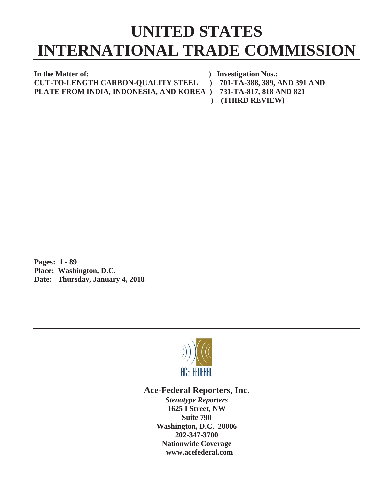# **UNITED STATES INTERNATIONAL TRADE COMMISSION**

**In the Matter of: ) Investigation Nos.: CUT-TO-LENGTH CARBON-QUALITY STEEL ) 701-TA-388, 389, AND 391 AND PLATE FROM INDIA, INDONESIA, AND KOREA ) 731-TA-817, 818 AND 821** 

- -
- 
- **) (THIRD REVIEW)**

**Pages: 1 - 89 Place: Washington, D.C. Date: Thursday, January 4, 2018**



## **Ace-Federal Reporters, Inc.**

*Stenotype Reporters* **1625 I Street, NW Suite 790 Washington, D.C. 20006 202-347-3700 Nationwide Coverage www.acefederal.com**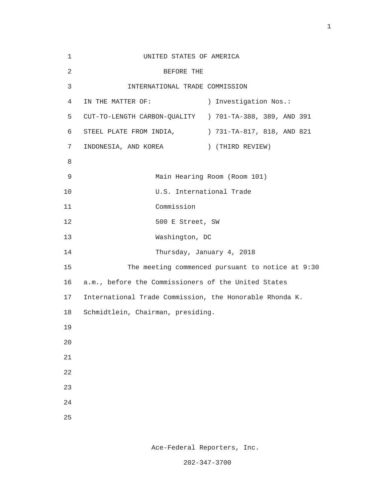| 1              | UNITED STATES OF AMERICA                                |                            |
|----------------|---------------------------------------------------------|----------------------------|
| $\overline{2}$ | BEFORE THE                                              |                            |
| 3              | INTERNATIONAL TRADE COMMISSION                          |                            |
| 4              | IN THE MATTER OF:                                       | ) Investigation Nos.:      |
| 5              | CUT-TO-LENGTH CARBON-QUALITY ) 701-TA-388, 389, AND 391 |                            |
| 6              | STEEL PLATE FROM INDIA,                                 | ) 731-TA-817, 818, AND 821 |
| 7              | INDONESIA, AND KOREA                                    | ) (THIRD REVIEW)           |
| 8              |                                                         |                            |
| 9              | Main Hearing Room (Room 101)                            |                            |
| 10             |                                                         | U.S. International Trade   |
| 11             | Commission                                              |                            |
| 12             | 500 E Street, SW                                        |                            |
| 13             | Washington, DC                                          |                            |
| 14             |                                                         | Thursday, January 4, 2018  |
| 15             | The meeting commenced pursuant to notice at 9:30        |                            |
| 16             | a.m., before the Commissioners of the United States     |                            |
| 17             | International Trade Commission, the Honorable Rhonda K. |                            |
| 18             | Schmidtlein, Chairman, presiding.                       |                            |
| 19             |                                                         |                            |
| 20             |                                                         |                            |
| 21             |                                                         |                            |
| 22             |                                                         |                            |
| 23             |                                                         |                            |
| 24             |                                                         |                            |
| 25             |                                                         |                            |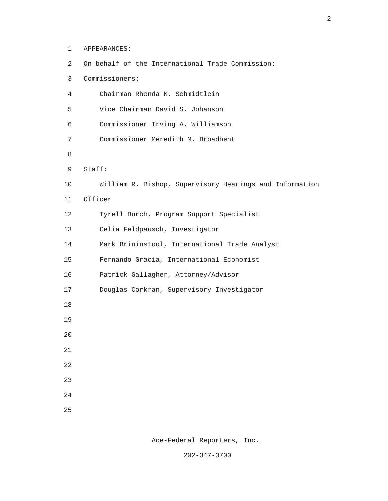| 2              | On behalf of the International Trade Commission:        |
|----------------|---------------------------------------------------------|
| 3              | Commissioners:                                          |
| $\overline{4}$ | Chairman Rhonda K. Schmidtlein                          |
| 5              | Vice Chairman David S. Johanson                         |
| 6              | Commissioner Irving A. Williamson                       |
| 7              | Commissioner Meredith M. Broadbent                      |
| 8              |                                                         |
| 9              | Stat:                                                   |
| 10             | William R. Bishop, Supervisory Hearings and Information |
| 11             | Officer                                                 |
| 12             | Tyrell Burch, Program Support Specialist                |
| 13             | Celia Feldpausch, Investigator                          |
| 14             | Mark Brininstool, International Trade Analyst           |
| 15             | Fernando Gracia, International Economist                |
| 16             | Patrick Gallagher, Attorney/Advisor                     |
| 17             | Douglas Corkran, Supervisory Investigator               |
| 18             |                                                         |
| 19             |                                                         |
| 20             |                                                         |
| 21             |                                                         |
| 22             |                                                         |
| 23             |                                                         |
| 24             |                                                         |
| 25             |                                                         |
|                |                                                         |

1 APPEARANCES:

Ace-Federal Reporters, Inc.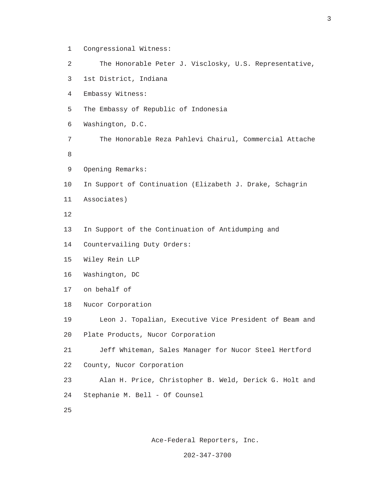1 Congressional Witness: 2 The Honorable Peter J. Visclosky, U.S. Representative, 3 1st District, Indiana 4 Embassy Witness: 5 The Embassy of Republic of Indonesia 6 Washington, D.C. 7 The Honorable Reza Pahlevi Chairul, Commercial Attache e a construction de la propieta de la propieta de la propieta de la propieta de la propieta de la propieta de<br>En 1888, en 1888, en 1888, en 1888, en 1888, en 1888, en 1888, en 1888, en 1888, en 1888, en 1888, en 1888, en 9 Opening Remarks: 10 In Support of Continuation (Elizabeth J. Drake, Schagrin 11 Associates) 12 13 In Support of the Continuation of Antidumping and 14 Countervailing Duty Orders: 15 Wiley Rein LLP 16 Washington, DC 17 on behalf of 18 Nucor Corporation 19 Leon J. Topalian, Executive Vice President of Beam and 20 Plate Products, Nucor Corporation 21 Jeff Whiteman, Sales Manager for Nucor Steel Hertford 22 County, Nucor Corporation 23 Alan H. Price, Christopher B. Weld, Derick G. Holt and 24 Stephanie M. Bell - Of Counsel 25

Ace-Federal Reporters, Inc.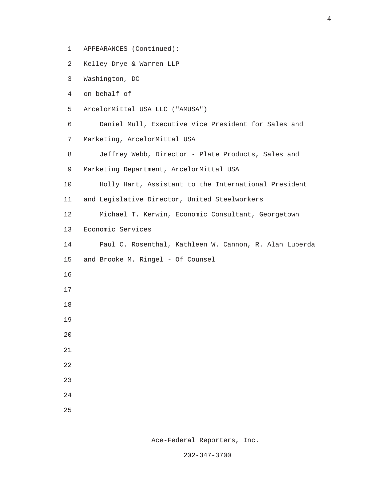- 1 APPEARANCES (Continued):
- 2 Kelley Drye & Warren LLP
- 3 Washington, DC
- 4 on behalf of
- 5 ArcelorMittal USA LLC ("AMUSA")
- 6 Daniel Mull, Executive Vice President for Sales and 7 Marketing, ArcelorMittal USA
- 8 Jeffrey Webb, Director Plate Products, Sales and
- 9 Marketing Department, ArcelorMittal USA
- 10 Holly Hart, Assistant to the International President
- 11 and Legislative Director, United Steelworkers
- 12 Michael T. Kerwin, Economic Consultant, Georgetown
- 13 Economic Services
- 14 Paul C. Rosenthal, Kathleen W. Cannon, R. Alan Luberda
- 15 and Brooke M. Ringel Of Counsel
- 16
- 17
- 18
- 19
- 20
- 21
- 
- 22
- 23
	- 24
	- 25

Ace-Federal Reporters, Inc.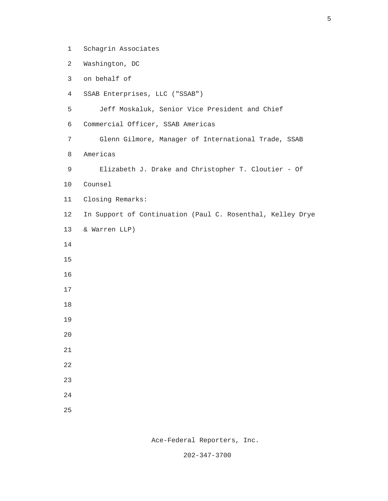2 Washington, DC 3 on behalf of 4 SSAB Enterprises, LLC ("SSAB") 5 Jeff Moskaluk, Senior Vice President and Chief 6 Commercial Officer, SSAB Americas 7 Glenn Gilmore, Manager of International Trade, SSAB 8 Americas 9 Elizabeth J. Drake and Christopher T. Cloutier - Of 10 Counsel 11 Closing Remarks: 12 In Support of Continuation (Paul C. Rosenthal, Kelley Drye 13 & Warren LLP) 14 15 16 17 18 19 20 21 22 23 24 25

1 Schagrin Associates

Ace-Federal Reporters, Inc.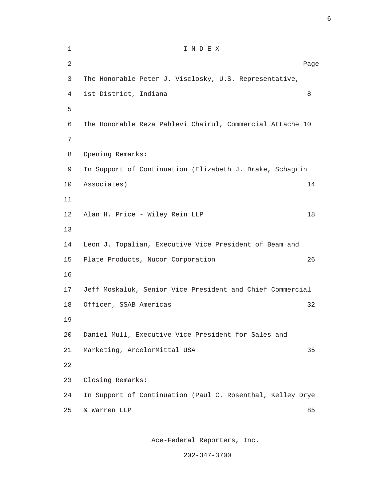| $\mathbf 1$ | INDEX                                                      |      |
|-------------|------------------------------------------------------------|------|
| $\sqrt{2}$  |                                                            | Page |
| 3           | The Honorable Peter J. Visclosky, U.S. Representative,     |      |
| 4           | 1st District, Indiana                                      | 8    |
| 5           |                                                            |      |
| 6           | The Honorable Reza Pahlevi Chairul, Commercial Attache 10  |      |
| 7           |                                                            |      |
| 8           | Opening Remarks:                                           |      |
| 9           | In Support of Continuation (Elizabeth J. Drake, Schagrin   |      |
| 10          | Associates)                                                | 14   |
| 11          |                                                            |      |
| 12          | Alan H. Price - Wiley Rein LLP                             | 18   |
| 13          |                                                            |      |
| 14          | Leon J. Topalian, Executive Vice President of Beam and     |      |
| 15          | Plate Products, Nucor Corporation                          | 26   |
| 16          |                                                            |      |
| 17          | Jeff Moskaluk, Senior Vice President and Chief Commercial  |      |
| 18          | Officer, SSAB Americas                                     | 32   |
| 19          |                                                            |      |
| 20          | Daniel Mull, Executive Vice President for Sales and        |      |
| 21          | Marketing, ArcelorMittal USA                               | 35   |
| 22          |                                                            |      |
| 23          | Closing Remarks:                                           |      |
| 24          | In Support of Continuation (Paul C. Rosenthal, Kelley Drye |      |
| 25          | & Warren LLP                                               | 85   |
|             |                                                            |      |

Ace-Federal Reporters, Inc.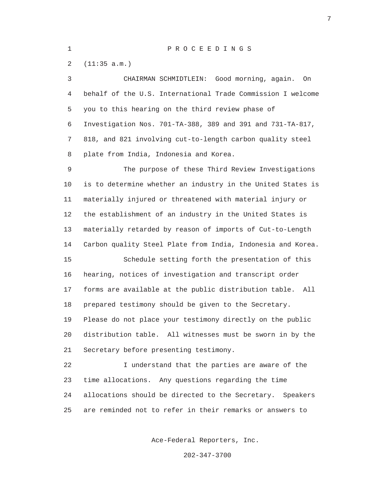#### 1 P R O C E E D I N G S

2 (11:35 a.m.)

 3 CHAIRMAN SCHMIDTLEIN: Good morning, again. On 4 behalf of the U.S. International Trade Commission I welcome 5 you to this hearing on the third review phase of 6 Investigation Nos. 701-TA-388, 389 and 391 and 731-TA-817, 7 818, and 821 involving cut-to-length carbon quality steel 8 plate from India, Indonesia and Korea. 9 The purpose of these Third Review Investigations 10 is to determine whether an industry in the United States is 11 materially injured or threatened with material injury or 12 the establishment of an industry in the United States is 13 materially retarded by reason of imports of Cut-to-Length 14 Carbon quality Steel Plate from India, Indonesia and Korea. 15 Schedule setting forth the presentation of this 16 hearing, notices of investigation and transcript order 17 forms are available at the public distribution table. All

 19 Please do not place your testimony directly on the public 20 distribution table. All witnesses must be sworn in by the 21 Secretary before presenting testimony.

18 prepared testimony should be given to the Secretary.

 22 I understand that the parties are aware of the 23 time allocations. Any questions regarding the time 24 allocations should be directed to the Secretary. Speakers 25 are reminded not to refer in their remarks or answers to

Ace-Federal Reporters, Inc.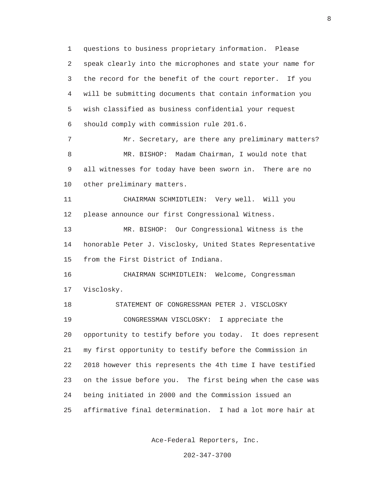1 questions to business proprietary information. Please 2 speak clearly into the microphones and state your name for 3 the record for the benefit of the court reporter. If you 4 will be submitting documents that contain information you 5 wish classified as business confidential your request 6 should comply with commission rule 201.6. 7 Mr. Secretary, are there any preliminary matters? 8 MR. BISHOP: Madam Chairman, I would note that 9 all witnesses for today have been sworn in. There are no 10 other preliminary matters. 11 CHAIRMAN SCHMIDTLEIN: Very well. Will you 12 please announce our first Congressional Witness. 13 MR. BISHOP: Our Congressional Witness is the 14 honorable Peter J. Visclosky, United States Representative 15 from the First District of Indiana. 16 CHAIRMAN SCHMIDTLEIN: Welcome, Congressman 17 Visclosky. 18 STATEMENT OF CONGRESSMAN PETER J. VISCLOSKY 19 CONGRESSMAN VISCLOSKY: I appreciate the 20 opportunity to testify before you today. It does represent 21 my first opportunity to testify before the Commission in 22 2018 however this represents the 4th time I have testified 23 on the issue before you. The first being when the case was 24 being initiated in 2000 and the Commission issued an 25 affirmative final determination. I had a lot more hair at

Ace-Federal Reporters, Inc.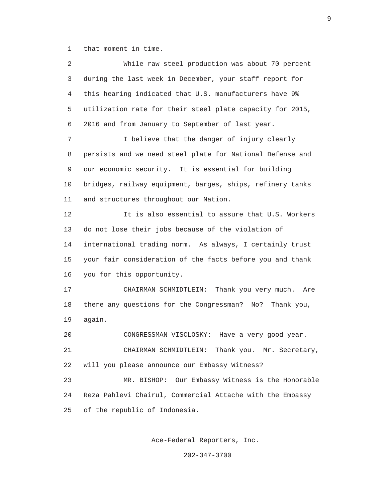1 that moment in time.

 2 While raw steel production was about 70 percent 3 during the last week in December, your staff report for 4 this hearing indicated that U.S. manufacturers have 9% 5 utilization rate for their steel plate capacity for 2015, 6 2016 and from January to September of last year. 7 **I** believe that the danger of injury clearly 8 persists and we need steel plate for National Defense and 9 our economic security. It is essential for building 10 bridges, railway equipment, barges, ships, refinery tanks 11 and structures throughout our Nation. 12 It is also essential to assure that U.S. Workers 13 do not lose their jobs because of the violation of 14 international trading norm. As always, I certainly trust 15 your fair consideration of the facts before you and thank 16 you for this opportunity. 17 CHAIRMAN SCHMIDTLEIN: Thank you very much. Are 18 there any questions for the Congressman? No? Thank you, 19 again. 20 CONGRESSMAN VISCLOSKY: Have a very good year. 21 CHAIRMAN SCHMIDTLEIN: Thank you. Mr. Secretary, 22 will you please announce our Embassy Witness? 23 MR. BISHOP: Our Embassy Witness is the Honorable 24 Reza Pahlevi Chairul, Commercial Attache with the Embassy 25 of the republic of Indonesia.

Ace-Federal Reporters, Inc.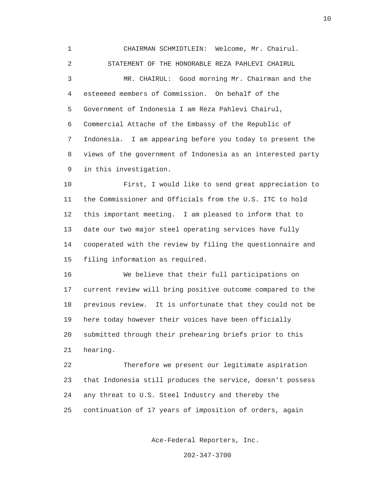1 CHAIRMAN SCHMIDTLEIN: Welcome, Mr. Chairul. 2 STATEMENT OF THE HONORABLE REZA PAHLEVI CHAIRUL 3 MR. CHAIRUL: Good morning Mr. Chairman and the 4 esteemed members of Commission. On behalf of the 5 Government of Indonesia I am Reza Pahlevi Chairul, 6 Commercial Attache of the Embassy of the Republic of 7 Indonesia. I am appearing before you today to present the 8 views of the government of Indonesia as an interested party 9 in this investigation.

 10 First, I would like to send great appreciation to 11 the Commissioner and Officials from the U.S. ITC to hold 12 this important meeting. I am pleased to inform that to 13 date our two major steel operating services have fully 14 cooperated with the review by filing the questionnaire and 15 filing information as required.

 16 We believe that their full participations on 17 current review will bring positive outcome compared to the 18 previous review. It is unfortunate that they could not be 19 here today however their voices have been officially 20 submitted through their prehearing briefs prior to this 21 hearing.

 22 Therefore we present our legitimate aspiration 23 that Indonesia still produces the service, doesn't possess 24 any threat to U.S. Steel Industry and thereby the 25 continuation of 17 years of imposition of orders, again

Ace-Federal Reporters, Inc.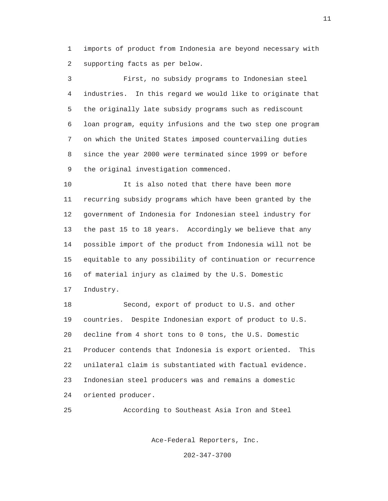1 imports of product from Indonesia are beyond necessary with 2 supporting facts as per below.

 3 First, no subsidy programs to Indonesian steel 4 industries. In this regard we would like to originate that 5 the originally late subsidy programs such as rediscount 6 loan program, equity infusions and the two step one program 7 on which the United States imposed countervailing duties 8 since the year 2000 were terminated since 1999 or before 9 the original investigation commenced.

 10 It is also noted that there have been more 11 recurring subsidy programs which have been granted by the 12 government of Indonesia for Indonesian steel industry for 13 the past 15 to 18 years. Accordingly we believe that any 14 possible import of the product from Indonesia will not be 15 equitable to any possibility of continuation or recurrence 16 of material injury as claimed by the U.S. Domestic 17 Industry.

 18 Second, export of product to U.S. and other 19 countries. Despite Indonesian export of product to U.S. 20 decline from 4 short tons to 0 tons, the U.S. Domestic 21 Producer contends that Indonesia is export oriented. This 22 unilateral claim is substantiated with factual evidence. 23 Indonesian steel producers was and remains a domestic 24 oriented producer.

25 According to Southeast Asia Iron and Steel

Ace-Federal Reporters, Inc.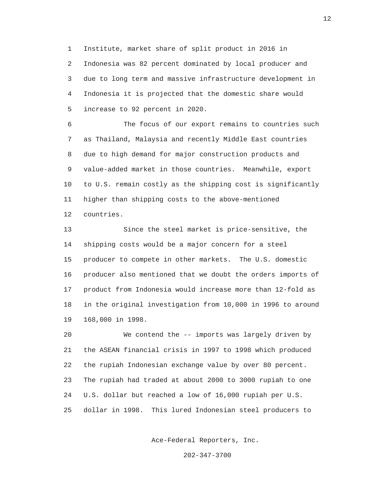1 Institute, market share of split product in 2016 in 2 Indonesia was 82 percent dominated by local producer and 3 due to long term and massive infrastructure development in 4 Indonesia it is projected that the domestic share would 5 increase to 92 percent in 2020.

 6 The focus of our export remains to countries such 7 as Thailand, Malaysia and recently Middle East countries 8 due to high demand for major construction products and 9 value-added market in those countries. Meanwhile, export 10 to U.S. remain costly as the shipping cost is significantly 11 higher than shipping costs to the above-mentioned 12 countries.

 13 Since the steel market is price-sensitive, the 14 shipping costs would be a major concern for a steel 15 producer to compete in other markets. The U.S. domestic 16 producer also mentioned that we doubt the orders imports of 17 product from Indonesia would increase more than 12-fold as 18 in the original investigation from 10,000 in 1996 to around 19 168,000 in 1998.

 20 We contend the -- imports was largely driven by 21 the ASEAN financial crisis in 1997 to 1998 which produced 22 the rupiah Indonesian exchange value by over 80 percent. 23 The rupiah had traded at about 2000 to 3000 rupiah to one 24 U.S. dollar but reached a low of 16,000 rupiah per U.S. 25 dollar in 1998. This lured Indonesian steel producers to

Ace-Federal Reporters, Inc.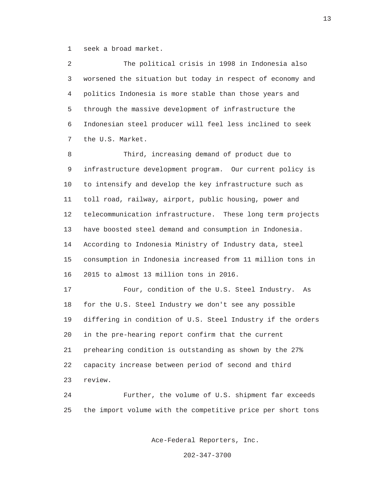1 seek a broad market.

 2 The political crisis in 1998 in Indonesia also 3 worsened the situation but today in respect of economy and 4 politics Indonesia is more stable than those years and 5 through the massive development of infrastructure the 6 Indonesian steel producer will feel less inclined to seek 7 the U.S. Market.

 8 Third, increasing demand of product due to 9 infrastructure development program. Our current policy is 10 to intensify and develop the key infrastructure such as 11 toll road, railway, airport, public housing, power and 12 telecommunication infrastructure. These long term projects 13 have boosted steel demand and consumption in Indonesia. 14 According to Indonesia Ministry of Industry data, steel 15 consumption in Indonesia increased from 11 million tons in 16 2015 to almost 13 million tons in 2016.

 17 Four, condition of the U.S. Steel Industry. As 18 for the U.S. Steel Industry we don't see any possible 19 differing in condition of U.S. Steel Industry if the orders 20 in the pre-hearing report confirm that the current 21 prehearing condition is outstanding as shown by the 27% 22 capacity increase between period of second and third 23 review.

 24 Further, the volume of U.S. shipment far exceeds 25 the import volume with the competitive price per short tons

Ace-Federal Reporters, Inc.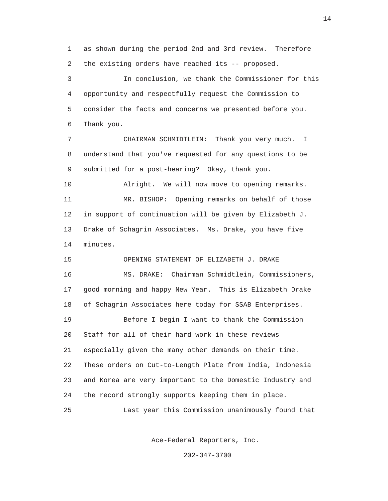1 as shown during the period 2nd and 3rd review. Therefore 2 the existing orders have reached its -- proposed.

 3 In conclusion, we thank the Commissioner for this 4 opportunity and respectfully request the Commission to 5 consider the facts and concerns we presented before you. 6 Thank you.

 7 CHAIRMAN SCHMIDTLEIN: Thank you very much. I 8 understand that you've requested for any questions to be 9 submitted for a post-hearing? Okay, thank you.

 10 Alright. We will now move to opening remarks. 11 MR. BISHOP: Opening remarks on behalf of those 12 in support of continuation will be given by Elizabeth J. 13 Drake of Schagrin Associates. Ms. Drake, you have five 14 minutes.

 15 OPENING STATEMENT OF ELIZABETH J. DRAKE 16 MS. DRAKE: Chairman Schmidtlein, Commissioners, 17 good morning and happy New Year. This is Elizabeth Drake 18 of Schagrin Associates here today for SSAB Enterprises. 19 Before I begin I want to thank the Commission 20 Staff for all of their hard work in these reviews 21 especially given the many other demands on their time. 22 These orders on Cut-to-Length Plate from India, Indonesia 23 and Korea are very important to the Domestic Industry and 24 the record strongly supports keeping them in place. 25 Last year this Commission unanimously found that

Ace-Federal Reporters, Inc.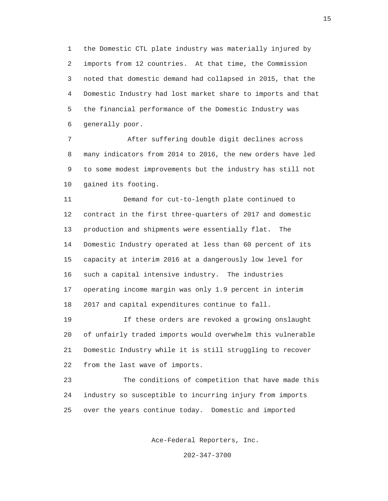1 the Domestic CTL plate industry was materially injured by 2 imports from 12 countries. At that time, the Commission 3 noted that domestic demand had collapsed in 2015, that the 4 Domestic Industry had lost market share to imports and that 5 the financial performance of the Domestic Industry was 6 generally poor.

 7 After suffering double digit declines across 8 many indicators from 2014 to 2016, the new orders have led 9 to some modest improvements but the industry has still not 10 gained its footing.

 11 Demand for cut-to-length plate continued to 12 contract in the first three-quarters of 2017 and domestic 13 production and shipments were essentially flat. The 14 Domestic Industry operated at less than 60 percent of its 15 capacity at interim 2016 at a dangerously low level for 16 such a capital intensive industry. The industries 17 operating income margin was only 1.9 percent in interim 18 2017 and capital expenditures continue to fall.

 19 If these orders are revoked a growing onslaught 20 of unfairly traded imports would overwhelm this vulnerable 21 Domestic Industry while it is still struggling to recover 22 from the last wave of imports.

 23 The conditions of competition that have made this 24 industry so susceptible to incurring injury from imports 25 over the years continue today. Domestic and imported

Ace-Federal Reporters, Inc.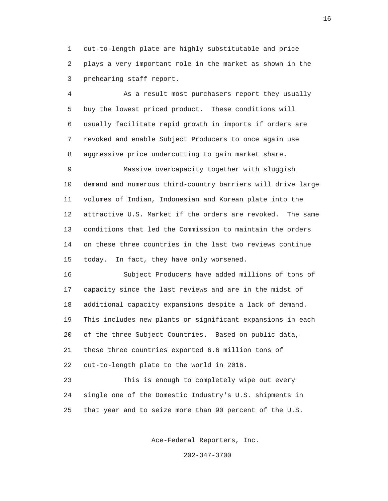1 cut-to-length plate are highly substitutable and price 2 plays a very important role in the market as shown in the 3 prehearing staff report.

 4 As a result most purchasers report they usually 5 buy the lowest priced product. These conditions will 6 usually facilitate rapid growth in imports if orders are 7 revoked and enable Subject Producers to once again use 8 aggressive price undercutting to gain market share.

 9 Massive overcapacity together with sluggish 10 demand and numerous third-country barriers will drive large 11 volumes of Indian, Indonesian and Korean plate into the 12 attractive U.S. Market if the orders are revoked. The same 13 conditions that led the Commission to maintain the orders 14 on these three countries in the last two reviews continue 15 today. In fact, they have only worsened.

 16 Subject Producers have added millions of tons of 17 capacity since the last reviews and are in the midst of 18 additional capacity expansions despite a lack of demand. 19 This includes new plants or significant expansions in each 20 of the three Subject Countries. Based on public data, 21 these three countries exported 6.6 million tons of 22 cut-to-length plate to the world in 2016.

 23 This is enough to completely wipe out every 24 single one of the Domestic Industry's U.S. shipments in 25 that year and to seize more than 90 percent of the U.S.

Ace-Federal Reporters, Inc.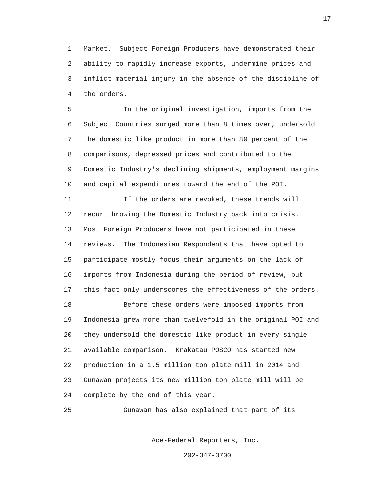1 Market. Subject Foreign Producers have demonstrated their 2 ability to rapidly increase exports, undermine prices and 3 inflict material injury in the absence of the discipline of 4 the orders.

 5 In the original investigation, imports from the 6 Subject Countries surged more than 8 times over, undersold 7 the domestic like product in more than 80 percent of the 8 comparisons, depressed prices and contributed to the 9 Domestic Industry's declining shipments, employment margins 10 and capital expenditures toward the end of the POI.

 11 If the orders are revoked, these trends will 12 recur throwing the Domestic Industry back into crisis. 13 Most Foreign Producers have not participated in these 14 reviews. The Indonesian Respondents that have opted to 15 participate mostly focus their arguments on the lack of 16 imports from Indonesia during the period of review, but 17 this fact only underscores the effectiveness of the orders.

 18 Before these orders were imposed imports from 19 Indonesia grew more than twelvefold in the original POI and 20 they undersold the domestic like product in every single 21 available comparison. Krakatau POSCO has started new 22 production in a 1.5 million ton plate mill in 2014 and 23 Gunawan projects its new million ton plate mill will be 24 complete by the end of this year.

25 Gunawan has also explained that part of its

Ace-Federal Reporters, Inc.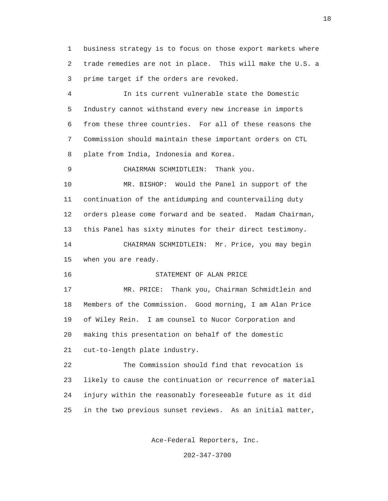1 business strategy is to focus on those export markets where 2 trade remedies are not in place. This will make the U.S. a 3 prime target if the orders are revoked.

 4 In its current vulnerable state the Domestic 5 Industry cannot withstand every new increase in imports 6 from these three countries. For all of these reasons the 7 Commission should maintain these important orders on CTL 8 plate from India, Indonesia and Korea.

9 CHAIRMAN SCHMIDTLEIN: Thank you.

 10 MR. BISHOP: Would the Panel in support of the 11 continuation of the antidumping and countervailing duty 12 orders please come forward and be seated. Madam Chairman, 13 this Panel has sixty minutes for their direct testimony. 14 CHAIRMAN SCHMIDTLEIN: Mr. Price, you may begin

15 when you are ready.

16 STATEMENT OF ALAN PRICE

 17 MR. PRICE: Thank you, Chairman Schmidtlein and 18 Members of the Commission. Good morning, I am Alan Price 19 of Wiley Rein. I am counsel to Nucor Corporation and 20 making this presentation on behalf of the domestic 21 cut-to-length plate industry.

 22 The Commission should find that revocation is 23 likely to cause the continuation or recurrence of material 24 injury within the reasonably foreseeable future as it did 25 in the two previous sunset reviews. As an initial matter,

Ace-Federal Reporters, Inc.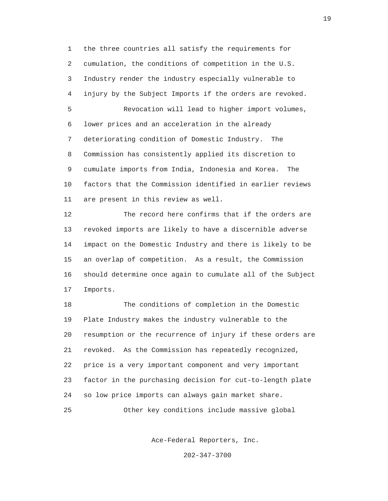1 the three countries all satisfy the requirements for 2 cumulation, the conditions of competition in the U.S. 3 Industry render the industry especially vulnerable to 4 injury by the Subject Imports if the orders are revoked. 5 Revocation will lead to higher import volumes, 6 lower prices and an acceleration in the already 7 deteriorating condition of Domestic Industry. The 8 Commission has consistently applied its discretion to 9 cumulate imports from India, Indonesia and Korea. The 10 factors that the Commission identified in earlier reviews 11 are present in this review as well.

 12 The record here confirms that if the orders are 13 revoked imports are likely to have a discernible adverse 14 impact on the Domestic Industry and there is likely to be 15 an overlap of competition. As a result, the Commission 16 should determine once again to cumulate all of the Subject 17 Imports.

 18 The conditions of completion in the Domestic 19 Plate Industry makes the industry vulnerable to the 20 resumption or the recurrence of injury if these orders are 21 revoked. As the Commission has repeatedly recognized, 22 price is a very important component and very important 23 factor in the purchasing decision for cut-to-length plate 24 so low price imports can always gain market share. 25 Other key conditions include massive global

Ace-Federal Reporters, Inc.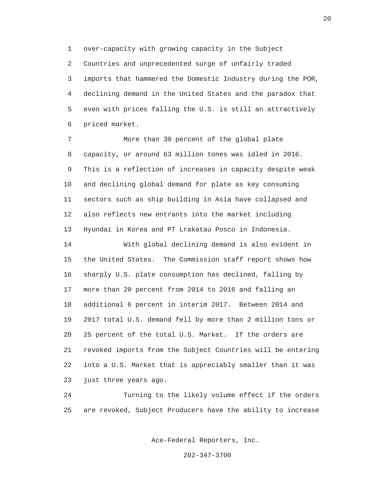1 over-capacity with growing capacity in the Subject 2 Countries and unprecedented surge of unfairly traded 3 imports that hammered the Domestic Industry during the POR, 4 declining demand in the United States and the paradox that 5 even with prices falling the U.S. is still an attractively 6 priced market.

 7 More than 30 percent of the global plate 8 capacity, or around 63 million tones was idled in 2016. 9 This is a reflection of increases in capacity despite weak 10 and declining global demand for plate as key consuming 11 sectors such as ship building in Asia have collapsed and 12 also reflects new entrants into the market including 13 Hyundai in Korea and PT Lrakatau Posco in Indonesia.

 14 With global declining demand is also evident in 15 the United States. The Commission staff report shows how 16 sharply U.S. plate consumption has declined, falling by 17 more than 20 percent from 2014 to 2016 and falling an 18 additional 6 percent in interim 2017. Between 2014 and 19 2017 total U.S. demand fell by more than 2 million tons or 20 25 percent of the total U.S. Market. If the orders are 21 revoked imports from the Subject Countries will be entering 22 into a U.S. Market that is appreciably smaller than it was 23 just three years ago.

 24 Turning to the likely volume effect if the orders 25 are revoked, Subject Producers have the ability to increase

Ace-Federal Reporters, Inc.

202-347-3700

20<br>20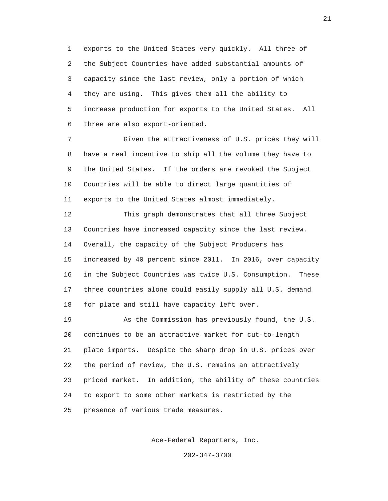1 exports to the United States very quickly. All three of 2 the Subject Countries have added substantial amounts of 3 capacity since the last review, only a portion of which 4 they are using. This gives them all the ability to 5 increase production for exports to the United States. All 6 three are also export-oriented.

 7 Given the attractiveness of U.S. prices they will 8 have a real incentive to ship all the volume they have to 9 the United States. If the orders are revoked the Subject 10 Countries will be able to direct large quantities of 11 exports to the United States almost immediately.

 12 This graph demonstrates that all three Subject 13 Countries have increased capacity since the last review. 14 Overall, the capacity of the Subject Producers has 15 increased by 40 percent since 2011. In 2016, over capacity 16 in the Subject Countries was twice U.S. Consumption. These 17 three countries alone could easily supply all U.S. demand 18 for plate and still have capacity left over.

 19 As the Commission has previously found, the U.S. 20 continues to be an attractive market for cut-to-length 21 plate imports. Despite the sharp drop in U.S. prices over 22 the period of review, the U.S. remains an attractively 23 priced market. In addition, the ability of these countries 24 to export to some other markets is restricted by the 25 presence of various trade measures.

Ace-Federal Reporters, Inc.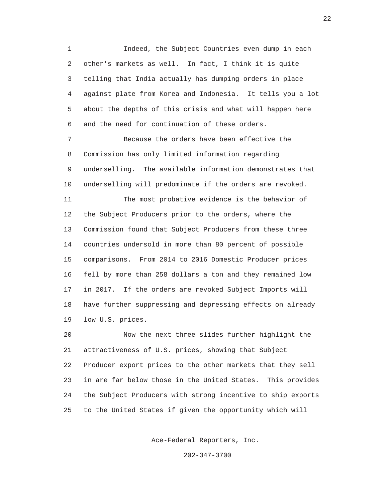1 Indeed, the Subject Countries even dump in each 2 other's markets as well. In fact, I think it is quite 3 telling that India actually has dumping orders in place 4 against plate from Korea and Indonesia. It tells you a lot 5 about the depths of this crisis and what will happen here 6 and the need for continuation of these orders.

 7 Because the orders have been effective the 8 Commission has only limited information regarding 9 underselling. The available information demonstrates that 10 underselling will predominate if the orders are revoked.

 11 The most probative evidence is the behavior of 12 the Subject Producers prior to the orders, where the 13 Commission found that Subject Producers from these three 14 countries undersold in more than 80 percent of possible 15 comparisons. From 2014 to 2016 Domestic Producer prices 16 fell by more than 258 dollars a ton and they remained low 17 in 2017. If the orders are revoked Subject Imports will 18 have further suppressing and depressing effects on already 19 low U.S. prices.

 20 Now the next three slides further highlight the 21 attractiveness of U.S. prices, showing that Subject 22 Producer export prices to the other markets that they sell 23 in are far below those in the United States. This provides 24 the Subject Producers with strong incentive to ship exports 25 to the United States if given the opportunity which will

Ace-Federal Reporters, Inc.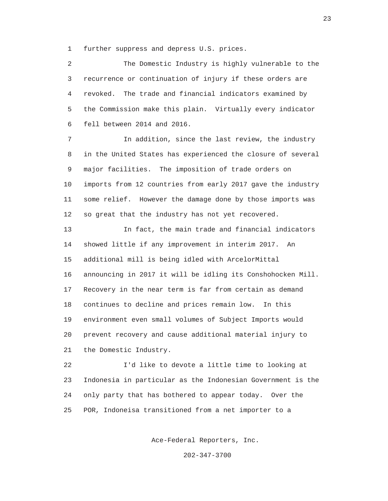1 further suppress and depress U.S. prices.

 2 The Domestic Industry is highly vulnerable to the 3 recurrence or continuation of injury if these orders are 4 revoked. The trade and financial indicators examined by 5 the Commission make this plain. Virtually every indicator 6 fell between 2014 and 2016.

 7 In addition, since the last review, the industry 8 in the United States has experienced the closure of several 9 major facilities. The imposition of trade orders on 10 imports from 12 countries from early 2017 gave the industry 11 some relief. However the damage done by those imports was 12 so great that the industry has not yet recovered.

 13 In fact, the main trade and financial indicators 14 showed little if any improvement in interim 2017. An 15 additional mill is being idled with ArcelorMittal 16 announcing in 2017 it will be idling its Conshohocken Mill. 17 Recovery in the near term is far from certain as demand 18 continues to decline and prices remain low. In this 19 environment even small volumes of Subject Imports would 20 prevent recovery and cause additional material injury to 21 the Domestic Industry.

 22 I'd like to devote a little time to looking at 23 Indonesia in particular as the Indonesian Government is the 24 only party that has bothered to appear today. Over the 25 POR, Indoneisa transitioned from a net importer to a

Ace-Federal Reporters, Inc.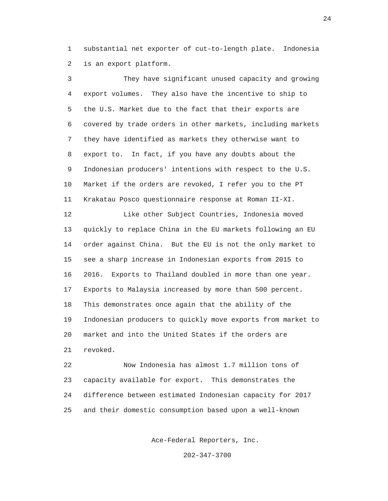1 substantial net exporter of cut-to-length plate. Indonesia 2 is an export platform.

 3 They have significant unused capacity and growing 4 export volumes. They also have the incentive to ship to 5 the U.S. Market due to the fact that their exports are 6 covered by trade orders in other markets, including markets 7 they have identified as markets they otherwise want to 8 export to. In fact, if you have any doubts about the 9 Indonesian producers' intentions with respect to the U.S. 10 Market if the orders are revoked, I refer you to the PT 11 Krakatau Posco questionnaire response at Roman II-XI. 12 Like other Subject Countries, Indonesia moved 13 quickly to replace China in the EU markets following an EU 14 order against China. But the EU is not the only market to 15 see a sharp increase in Indonesian exports from 2015 to 16 2016. Exports to Thailand doubled in more than one year. 17 Exports to Malaysia increased by more than 500 percent. 18 This demonstrates once again that the ability of the 19 Indonesian producers to quickly move exports from market to 20 market and into the United States if the orders are 21 revoked.

 22 Now Indonesia has almost 1.7 million tons of 23 capacity available for export. This demonstrates the 24 difference between estimated Indonesian capacity for 2017 25 and their domestic consumption based upon a well-known

Ace-Federal Reporters, Inc.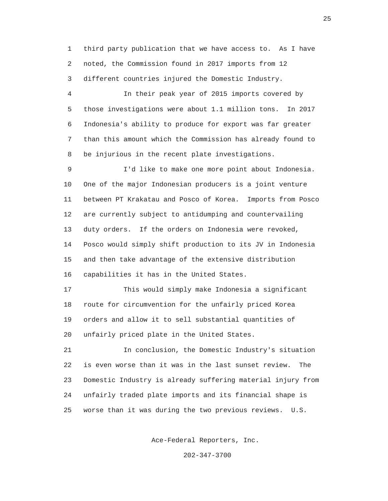1 third party publication that we have access to. As I have 2 noted, the Commission found in 2017 imports from 12 3 different countries injured the Domestic Industry.

 4 In their peak year of 2015 imports covered by 5 those investigations were about 1.1 million tons. In 2017 6 Indonesia's ability to produce for export was far greater 7 than this amount which the Commission has already found to 8 be injurious in the recent plate investigations.

 9 I'd like to make one more point about Indonesia. 10 One of the major Indonesian producers is a joint venture 11 between PT Krakatau and Posco of Korea. Imports from Posco 12 are currently subject to antidumping and countervailing 13 duty orders. If the orders on Indonesia were revoked, 14 Posco would simply shift production to its JV in Indonesia 15 and then take advantage of the extensive distribution 16 capabilities it has in the United States.

 17 This would simply make Indonesia a significant 18 route for circumvention for the unfairly priced Korea 19 orders and allow it to sell substantial quantities of 20 unfairly priced plate in the United States.

 21 In conclusion, the Domestic Industry's situation 22 is even worse than it was in the last sunset review. The 23 Domestic Industry is already suffering material injury from 24 unfairly traded plate imports and its financial shape is 25 worse than it was during the two previous reviews. U.S.

Ace-Federal Reporters, Inc.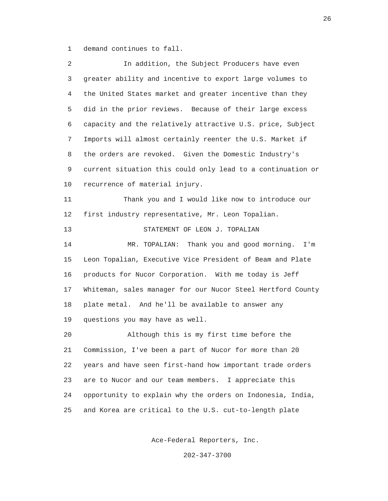1 demand continues to fall.

 2 In addition, the Subject Producers have even 3 greater ability and incentive to export large volumes to 4 the United States market and greater incentive than they 5 did in the prior reviews. Because of their large excess 6 capacity and the relatively attractive U.S. price, Subject 7 Imports will almost certainly reenter the U.S. Market if 8 the orders are revoked. Given the Domestic Industry's 9 current situation this could only lead to a continuation or 10 recurrence of material injury. 11 Thank you and I would like now to introduce our 12 first industry representative, Mr. Leon Topalian. 13 STATEMENT OF LEON J. TOPALIAN 14 MR. TOPALIAN: Thank you and good morning. I'm 15 Leon Topalian, Executive Vice President of Beam and Plate 16 products for Nucor Corporation. With me today is Jeff 17 Whiteman, sales manager for our Nucor Steel Hertford County 18 plate metal. And he'll be available to answer any 19 questions you may have as well. 20 Although this is my first time before the 21 Commission, I've been a part of Nucor for more than 20 22 years and have seen first-hand how important trade orders 23 are to Nucor and our team members. I appreciate this 24 opportunity to explain why the orders on Indonesia, India, 25 and Korea are critical to the U.S. cut-to-length plate

Ace-Federal Reporters, Inc.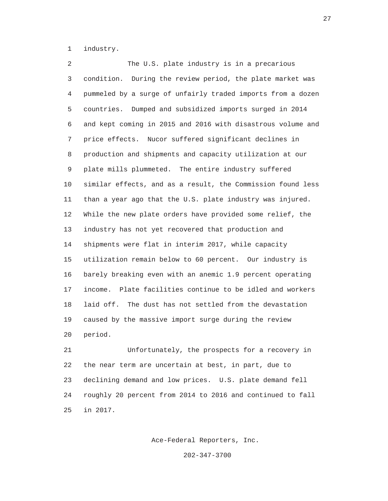1 industry.

 2 The U.S. plate industry is in a precarious 3 condition. During the review period, the plate market was 4 pummeled by a surge of unfairly traded imports from a dozen 5 countries. Dumped and subsidized imports surged in 2014 6 and kept coming in 2015 and 2016 with disastrous volume and 7 price effects. Nucor suffered significant declines in 8 production and shipments and capacity utilization at our 9 plate mills plummeted. The entire industry suffered 10 similar effects, and as a result, the Commission found less 11 than a year ago that the U.S. plate industry was injured. 12 While the new plate orders have provided some relief, the 13 industry has not yet recovered that production and 14 shipments were flat in interim 2017, while capacity 15 utilization remain below to 60 percent. Our industry is 16 barely breaking even with an anemic 1.9 percent operating 17 income. Plate facilities continue to be idled and workers 18 laid off. The dust has not settled from the devastation 19 caused by the massive import surge during the review 20 period.

 21 Unfortunately, the prospects for a recovery in 22 the near term are uncertain at best, in part, due to 23 declining demand and low prices. U.S. plate demand fell 24 roughly 20 percent from 2014 to 2016 and continued to fall 25 in 2017.

Ace-Federal Reporters, Inc.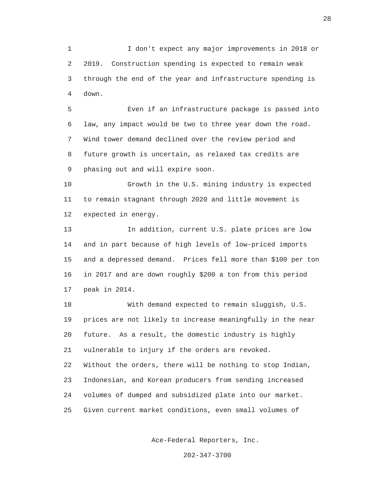1 I don't expect any major improvements in 2018 or 2 2019. Construction spending is expected to remain weak 3 through the end of the year and infrastructure spending is 4 down.

 5 Even if an infrastructure package is passed into 6 law, any impact would be two to three year down the road. 7 Wind tower demand declined over the review period and 8 future growth is uncertain, as relaxed tax credits are 9 phasing out and will expire soon.

 10 Growth in the U.S. mining industry is expected 11 to remain stagnant through 2020 and little movement is 12 expected in energy.

 13 In addition, current U.S. plate prices are low 14 and in part because of high levels of low-priced imports 15 and a depressed demand. Prices fell more than \$100 per ton 16 in 2017 and are down roughly \$200 a ton from this period 17 peak in 2014.

 18 With demand expected to remain sluggish, U.S. 19 prices are not likely to increase meaningfully in the near 20 future. As a result, the domestic industry is highly 21 vulnerable to injury if the orders are revoked. 22 Without the orders, there will be nothing to stop Indian, 23 Indonesian, and Korean producers from sending increased 24 volumes of dumped and subsidized plate into our market. 25 Given current market conditions, even small volumes of

Ace-Federal Reporters, Inc.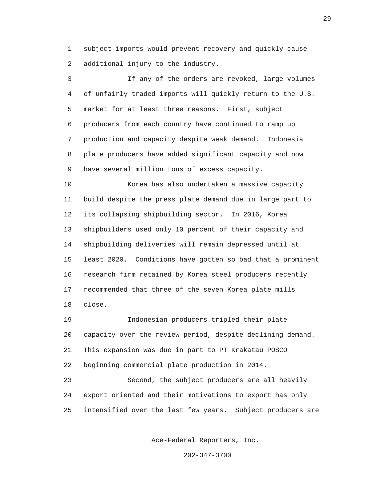1 subject imports would prevent recovery and quickly cause 2 additional injury to the industry.

 3 If any of the orders are revoked, large volumes 4 of unfairly traded imports will quickly return to the U.S. 5 market for at least three reasons. First, subject 6 producers from each country have continued to ramp up 7 production and capacity despite weak demand. Indonesia 8 plate producers have added significant capacity and now 9 have several million tons of excess capacity.

 10 Korea has also undertaken a massive capacity 11 build despite the press plate demand due in large part to 12 its collapsing shipbuilding sector. In 2016, Korea 13 shipbuilders used only 10 percent of their capacity and 14 shipbuilding deliveries will remain depressed until at 15 least 2020. Conditions have gotten so bad that a prominent 16 research firm retained by Korea steel producers recently 17 recommended that three of the seven Korea plate mills 18 close.

 19 Indonesian producers tripled their plate 20 capacity over the review period, despite declining demand. 21 This expansion was due in part to PT Krakatau POSCO 22 beginning commercial plate production in 2014.

 23 Second, the subject producers are all heavily 24 export oriented and their motivations to export has only 25 intensified over the last few years. Subject producers are

Ace-Federal Reporters, Inc.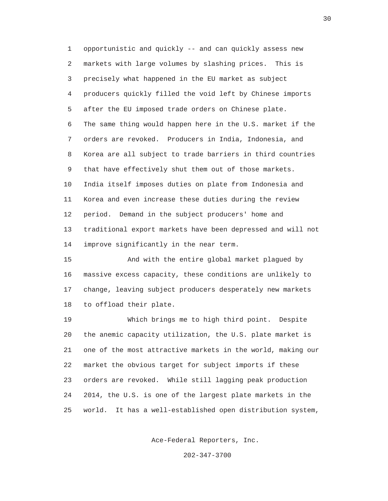1 opportunistic and quickly -- and can quickly assess new 2 markets with large volumes by slashing prices. This is 3 precisely what happened in the EU market as subject 4 producers quickly filled the void left by Chinese imports 5 after the EU imposed trade orders on Chinese plate. 6 The same thing would happen here in the U.S. market if the 7 orders are revoked. Producers in India, Indonesia, and 8 Korea are all subject to trade barriers in third countries 9 that have effectively shut them out of those markets. 10 India itself imposes duties on plate from Indonesia and 11 Korea and even increase these duties during the review 12 period. Demand in the subject producers' home and 13 traditional export markets have been depressed and will not 14 improve significantly in the near term.

 15 And with the entire global market plagued by 16 massive excess capacity, these conditions are unlikely to 17 change, leaving subject producers desperately new markets 18 to offload their plate.

 19 Which brings me to high third point. Despite 20 the anemic capacity utilization, the U.S. plate market is 21 one of the most attractive markets in the world, making our 22 market the obvious target for subject imports if these 23 orders are revoked. While still lagging peak production 24 2014, the U.S. is one of the largest plate markets in the 25 world. It has a well-established open distribution system,

Ace-Federal Reporters, Inc.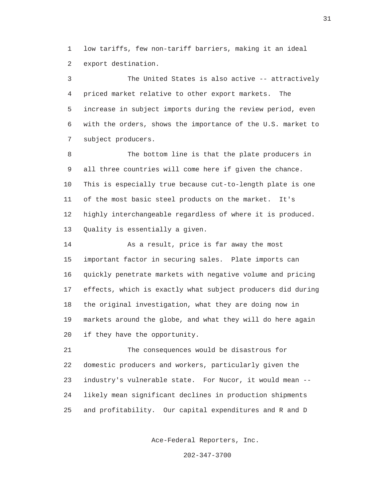1 low tariffs, few non-tariff barriers, making it an ideal 2 export destination.

 3 The United States is also active -- attractively 4 priced market relative to other export markets. The 5 increase in subject imports during the review period, even 6 with the orders, shows the importance of the U.S. market to 7 subject producers.

 8 The bottom line is that the plate producers in 9 all three countries will come here if given the chance. 10 This is especially true because cut-to-length plate is one 11 of the most basic steel products on the market. It's 12 highly interchangeable regardless of where it is produced. 13 Quality is essentially a given.

 14 As a result, price is far away the most 15 important factor in securing sales. Plate imports can 16 quickly penetrate markets with negative volume and pricing 17 effects, which is exactly what subject producers did during 18 the original investigation, what they are doing now in 19 markets around the globe, and what they will do here again 20 if they have the opportunity.

 21 The consequences would be disastrous for 22 domestic producers and workers, particularly given the 23 industry's vulnerable state. For Nucor, it would mean -- 24 likely mean significant declines in production shipments 25 and profitability. Our capital expenditures and R and D

Ace-Federal Reporters, Inc.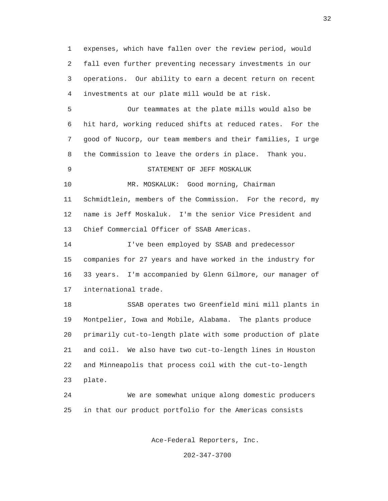1 expenses, which have fallen over the review period, would 2 fall even further preventing necessary investments in our 3 operations. Our ability to earn a decent return on recent 4 investments at our plate mill would be at risk.

 5 Our teammates at the plate mills would also be 6 hit hard, working reduced shifts at reduced rates. For the 7 good of Nucorp, our team members and their families, I urge 8 the Commission to leave the orders in place. Thank you.

### 9 STATEMENT OF JEFF MOSKALUK

 10 MR. MOSKALUK: Good morning, Chairman 11 Schmidtlein, members of the Commission. For the record, my 12 name is Jeff Moskaluk. I'm the senior Vice President and 13 Chief Commercial Officer of SSAB Americas.

 14 I've been employed by SSAB and predecessor 15 companies for 27 years and have worked in the industry for 16 33 years. I'm accompanied by Glenn Gilmore, our manager of 17 international trade.

 18 SSAB operates two Greenfield mini mill plants in 19 Montpelier, Iowa and Mobile, Alabama. The plants produce 20 primarily cut-to-length plate with some production of plate 21 and coil. We also have two cut-to-length lines in Houston 22 and Minneapolis that process coil with the cut-to-length 23 plate.

 24 We are somewhat unique along domestic producers 25 in that our product portfolio for the Americas consists

Ace-Federal Reporters, Inc.

202-347-3700

32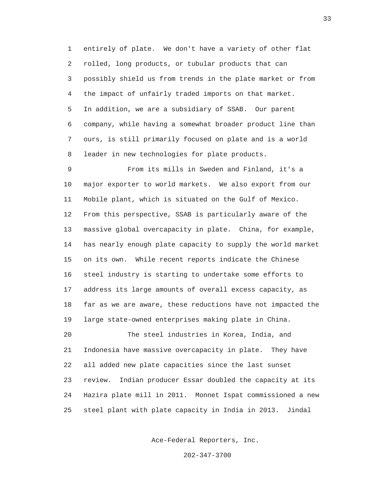1 entirely of plate. We don't have a variety of other flat 2 rolled, long products, or tubular products that can 3 possibly shield us from trends in the plate market or from 4 the impact of unfairly traded imports on that market. 5 In addition, we are a subsidiary of SSAB. Our parent 6 company, while having a somewhat broader product line than 7 ours, is still primarily focused on plate and is a world 8 leader in new technologies for plate products.

 9 From its mills in Sweden and Finland, it's a 10 major exporter to world markets. We also export from our 11 Mobile plant, which is situated on the Gulf of Mexico. 12 From this perspective, SSAB is particularly aware of the 13 massive global overcapacity in plate. China, for example, 14 has nearly enough plate capacity to supply the world market 15 on its own. While recent reports indicate the Chinese 16 steel industry is starting to undertake some efforts to 17 address its large amounts of overall excess capacity, as 18 far as we are aware, these reductions have not impacted the 19 large state-owned enterprises making plate in China. 20 The steel industries in Korea, India, and 21 Indonesia have massive overcapacity in plate. They have 22 all added new plate capacities since the last sunset 23 review. Indian producer Essar doubled the capacity at its 24 Hazira plate mill in 2011. Monnet Ispat commissioned a new 25 steel plant with plate capacity in India in 2013. Jindal

Ace-Federal Reporters, Inc.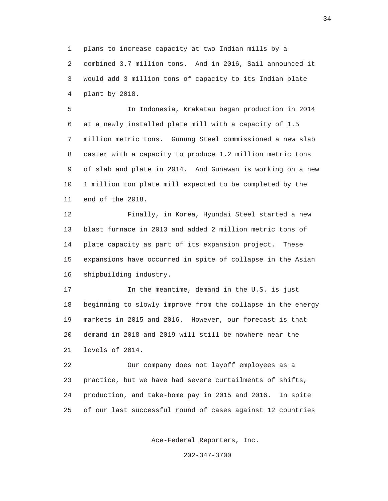1 plans to increase capacity at two Indian mills by a 2 combined 3.7 million tons. And in 2016, Sail announced it 3 would add 3 million tons of capacity to its Indian plate 4 plant by 2018.

 5 In Indonesia, Krakatau began production in 2014 6 at a newly installed plate mill with a capacity of 1.5 7 million metric tons. Gunung Steel commissioned a new slab 8 caster with a capacity to produce 1.2 million metric tons 9 of slab and plate in 2014. And Gunawan is working on a new 10 1 million ton plate mill expected to be completed by the 11 end of the 2018.

 12 Finally, in Korea, Hyundai Steel started a new 13 blast furnace in 2013 and added 2 million metric tons of 14 plate capacity as part of its expansion project. These 15 expansions have occurred in spite of collapse in the Asian 16 shipbuilding industry.

 17 In the meantime, demand in the U.S. is just 18 beginning to slowly improve from the collapse in the energy 19 markets in 2015 and 2016. However, our forecast is that 20 demand in 2018 and 2019 will still be nowhere near the 21 levels of 2014.

 22 Our company does not layoff employees as a 23 practice, but we have had severe curtailments of shifts, 24 production, and take-home pay in 2015 and 2016. In spite 25 of our last successful round of cases against 12 countries

Ace-Federal Reporters, Inc.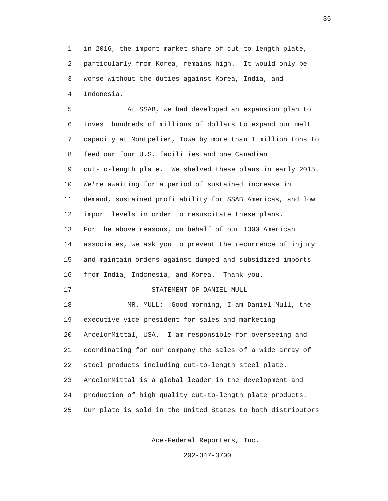1 in 2016, the import market share of cut-to-length plate, 2 particularly from Korea, remains high. It would only be 3 worse without the duties against Korea, India, and 4 Indonesia.

 5 At SSAB, we had developed an expansion plan to 6 invest hundreds of millions of dollars to expand our melt 7 capacity at Montpelier, Iowa by more than 1 million tons to 8 feed our four U.S. facilities and one Canadian 9 cut-to-length plate. We shelved these plans in early 2015. 10 We're awaiting for a period of sustained increase in 11 demand, sustained profitability for SSAB Americas, and low 12 import levels in order to resuscitate these plans. 13 For the above reasons, on behalf of our 1300 American 14 associates, we ask you to prevent the recurrence of injury 15 and maintain orders against dumped and subsidized imports 16 from India, Indonesia, and Korea. Thank you. 17 STATEMENT OF DANIEL MULL 18 MR. MULL: Good morning, I am Daniel Mull, the 19 executive vice president for sales and marketing 20 ArcelorMittal, USA. I am responsible for overseeing and 21 coordinating for our company the sales of a wide array of 22 steel products including cut-to-length steel plate. 23 ArcelorMittal is a global leader in the development and 24 production of high quality cut-to-length plate products. 25 Our plate is sold in the United States to both distributors

Ace-Federal Reporters, Inc.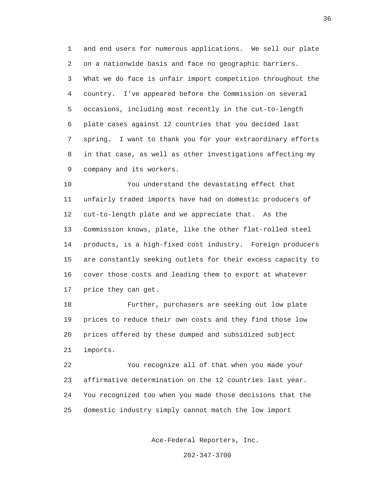1 and end users for numerous applications. We sell our plate 2 on a nationwide basis and face no geographic barriers. 3 What we do face is unfair import competition throughout the 4 country. I've appeared before the Commission on several 5 occasions, including most recently in the cut-to-length 6 plate cases against 12 countries that you decided last 7 spring. I want to thank you for your extraordinary efforts 8 in that case, as well as other investigations affecting my 9 company and its workers.

 10 You understand the devastating effect that 11 unfairly traded imports have had on domestic producers of 12 cut-to-length plate and we appreciate that. As the 13 Commission knows, plate, like the other flat-rolled steel 14 products, is a high-fixed cost industry. Foreign producers 15 are constantly seeking outlets for their excess capacity to 16 cover those costs and leading them to export at whatever 17 price they can get.

 18 Further, purchasers are seeking out low plate 19 prices to reduce their own costs and they find those low 20 prices offered by these dumped and subsidized subject 21 imports.

 22 You recognize all of that when you made your 23 affirmative determination on the 12 countries last year. 24 You recognized too when you made those decisions that the 25 domestic industry simply cannot match the low import

Ace-Federal Reporters, Inc.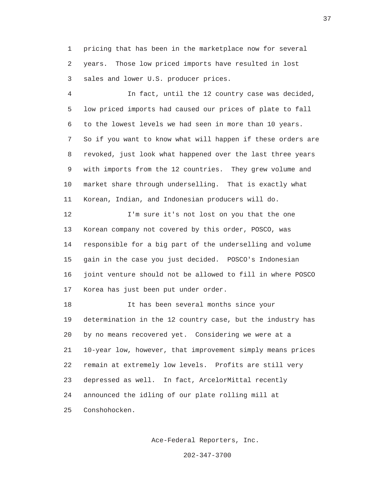1 pricing that has been in the marketplace now for several 2 years. Those low priced imports have resulted in lost 3 sales and lower U.S. producer prices.

 4 In fact, until the 12 country case was decided, 5 low priced imports had caused our prices of plate to fall 6 to the lowest levels we had seen in more than 10 years. 7 So if you want to know what will happen if these orders are 8 revoked, just look what happened over the last three years 9 with imports from the 12 countries. They grew volume and 10 market share through underselling. That is exactly what 11 Korean, Indian, and Indonesian producers will do.

 12 I'm sure it's not lost on you that the one 13 Korean company not covered by this order, POSCO, was 14 responsible for a big part of the underselling and volume 15 gain in the case you just decided. POSCO's Indonesian 16 joint venture should not be allowed to fill in where POSCO 17 Korea has just been put under order.

 18 It has been several months since your 19 determination in the 12 country case, but the industry has 20 by no means recovered yet. Considering we were at a 21 10-year low, however, that improvement simply means prices 22 remain at extremely low levels. Profits are still very 23 depressed as well. In fact, ArcelorMittal recently 24 announced the idling of our plate rolling mill at 25 Conshohocken.

Ace-Federal Reporters, Inc.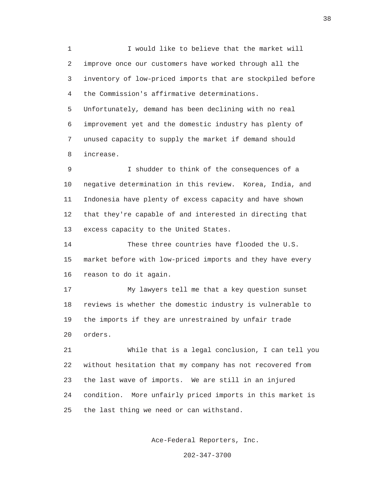1 I would like to believe that the market will 2 improve once our customers have worked through all the 3 inventory of low-priced imports that are stockpiled before 4 the Commission's affirmative determinations. 5 Unfortunately, demand has been declining with no real

 6 improvement yet and the domestic industry has plenty of 7 unused capacity to supply the market if demand should 8 increase.

 9 I shudder to think of the consequences of a 10 negative determination in this review. Korea, India, and 11 Indonesia have plenty of excess capacity and have shown 12 that they're capable of and interested in directing that 13 excess capacity to the United States.

 14 These three countries have flooded the U.S. 15 market before with low-priced imports and they have every 16 reason to do it again.

 17 My lawyers tell me that a key question sunset 18 reviews is whether the domestic industry is vulnerable to 19 the imports if they are unrestrained by unfair trade 20 orders.

 21 While that is a legal conclusion, I can tell you 22 without hesitation that my company has not recovered from 23 the last wave of imports. We are still in an injured 24 condition. More unfairly priced imports in this market is 25 the last thing we need or can withstand.

Ace-Federal Reporters, Inc.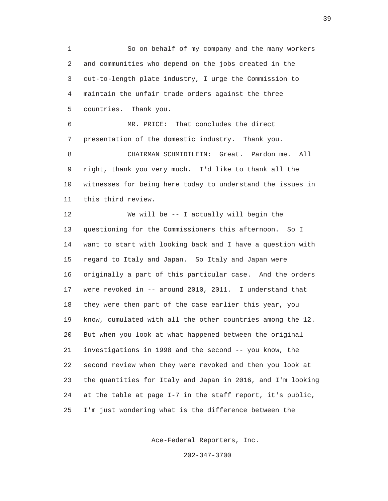1 So on behalf of my company and the many workers 2 and communities who depend on the jobs created in the 3 cut-to-length plate industry, I urge the Commission to 4 maintain the unfair trade orders against the three 5 countries. Thank you.

 6 MR. PRICE: That concludes the direct 7 presentation of the domestic industry. Thank you. 8 CHAIRMAN SCHMIDTLEIN: Great. Pardon me. All 9 right, thank you very much. I'd like to thank all the 10 witnesses for being here today to understand the issues in 11 this third review.

 12 We will be -- I actually will begin the 13 questioning for the Commissioners this afternoon. So I 14 want to start with looking back and I have a question with 15 regard to Italy and Japan. So Italy and Japan were 16 originally a part of this particular case. And the orders 17 were revoked in -- around 2010, 2011. I understand that 18 they were then part of the case earlier this year, you 19 know, cumulated with all the other countries among the 12. 20 But when you look at what happened between the original 21 investigations in 1998 and the second -- you know, the 22 second review when they were revoked and then you look at 23 the quantities for Italy and Japan in 2016, and I'm looking 24 at the table at page I-7 in the staff report, it's public, 25 I'm just wondering what is the difference between the

Ace-Federal Reporters, Inc.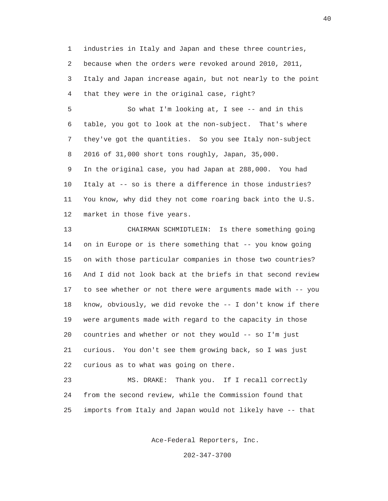1 industries in Italy and Japan and these three countries, 2 because when the orders were revoked around 2010, 2011, 3 Italy and Japan increase again, but not nearly to the point 4 that they were in the original case, right?

 5 So what I'm looking at, I see -- and in this 6 table, you got to look at the non-subject. That's where 7 they've got the quantities. So you see Italy non-subject 8 2016 of 31,000 short tons roughly, Japan, 35,000.

 9 In the original case, you had Japan at 288,000. You had 10 Italy at -- so is there a difference in those industries? 11 You know, why did they not come roaring back into the U.S. 12 market in those five years.

 13 CHAIRMAN SCHMIDTLEIN: Is there something going 14 on in Europe or is there something that -- you know going 15 on with those particular companies in those two countries? 16 And I did not look back at the briefs in that second review 17 to see whether or not there were arguments made with -- you 18 know, obviously, we did revoke the -- I don't know if there 19 were arguments made with regard to the capacity in those 20 countries and whether or not they would -- so I'm just 21 curious. You don't see them growing back, so I was just 22 curious as to what was going on there.

 23 MS. DRAKE: Thank you. If I recall correctly 24 from the second review, while the Commission found that 25 imports from Italy and Japan would not likely have -- that

Ace-Federal Reporters, Inc.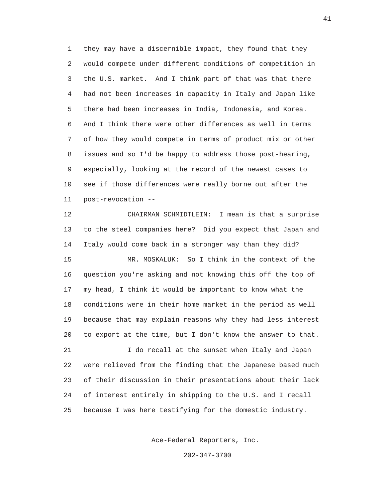1 they may have a discernible impact, they found that they 2 would compete under different conditions of competition in 3 the U.S. market. And I think part of that was that there 4 had not been increases in capacity in Italy and Japan like 5 there had been increases in India, Indonesia, and Korea. 6 And I think there were other differences as well in terms 7 of how they would compete in terms of product mix or other 8 issues and so I'd be happy to address those post-hearing, 9 especially, looking at the record of the newest cases to 10 see if those differences were really borne out after the 11 post-revocation --

 12 CHAIRMAN SCHMIDTLEIN: I mean is that a surprise 13 to the steel companies here? Did you expect that Japan and 14 Italy would come back in a stronger way than they did? 15 MR. MOSKALUK: So I think in the context of the 16 question you're asking and not knowing this off the top of 17 my head, I think it would be important to know what the 18 conditions were in their home market in the period as well 19 because that may explain reasons why they had less interest 20 to export at the time, but I don't know the answer to that. 21 I do recall at the sunset when Italy and Japan 22 were relieved from the finding that the Japanese based much 23 of their discussion in their presentations about their lack 24 of interest entirely in shipping to the U.S. and I recall 25 because I was here testifying for the domestic industry.

Ace-Federal Reporters, Inc.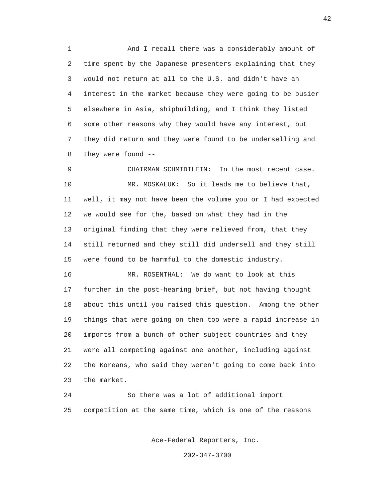1 And I recall there was a considerably amount of 2 time spent by the Japanese presenters explaining that they 3 would not return at all to the U.S. and didn't have an 4 interest in the market because they were going to be busier 5 elsewhere in Asia, shipbuilding, and I think they listed 6 some other reasons why they would have any interest, but 7 they did return and they were found to be underselling and 8 they were found --

 9 CHAIRMAN SCHMIDTLEIN: In the most recent case. 10 MR. MOSKALUK: So it leads me to believe that, 11 well, it may not have been the volume you or I had expected 12 we would see for the, based on what they had in the 13 original finding that they were relieved from, that they 14 still returned and they still did undersell and they still 15 were found to be harmful to the domestic industry.

 16 MR. ROSENTHAL: We do want to look at this 17 further in the post-hearing brief, but not having thought 18 about this until you raised this question. Among the other 19 things that were going on then too were a rapid increase in 20 imports from a bunch of other subject countries and they 21 were all competing against one another, including against 22 the Koreans, who said they weren't going to come back into 23 the market.

 24 So there was a lot of additional import 25 competition at the same time, which is one of the reasons

Ace-Federal Reporters, Inc.

202-347-3700

42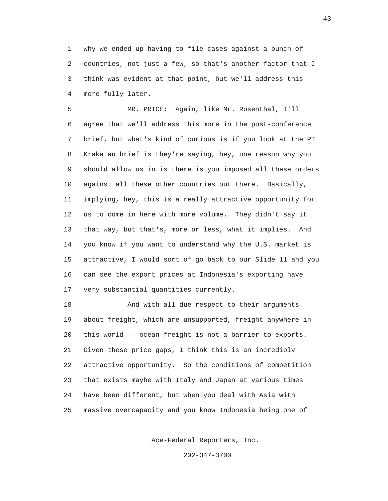1 why we ended up having to file cases against a bunch of 2 countries, not just a few, so that's another factor that I 3 think was evident at that point, but we'll address this 4 more fully later.

 5 MR. PRICE: Again, like Mr. Rosenthal, I'll 6 agree that we'll address this more in the post-conference 7 brief, but what's kind of curious is if you look at the PT 8 Krakatau brief is they're saying, hey, one reason why you 9 should allow us in is there is you imposed all these orders 10 against all these other countries out there. Basically, 11 implying, hey, this is a really attractive opportunity for 12 us to come in here with more volume. They didn't say it 13 that way, but that's, more or less, what it implies. And 14 you know if you want to understand why the U.S. market is 15 attractive, I would sort of go back to our Slide 11 and you 16 can see the export prices at Indonesia's exporting have 17 very substantial quantities currently.

 18 And with all due respect to their arguments 19 about freight, which are unsupported, freight anywhere in 20 this world -- ocean freight is not a barrier to exports. 21 Given these price gaps, I think this is an incredibly 22 attractive opportunity. So the conditions of competition 23 that exists maybe with Italy and Japan at various times 24 have been different, but when you deal with Asia with 25 massive overcapacity and you know Indonesia being one of

Ace-Federal Reporters, Inc.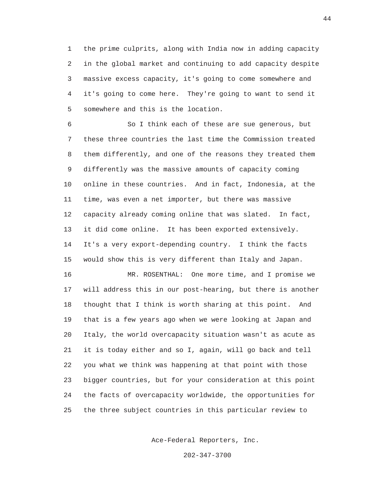1 the prime culprits, along with India now in adding capacity 2 in the global market and continuing to add capacity despite 3 massive excess capacity, it's going to come somewhere and 4 it's going to come here. They're going to want to send it 5 somewhere and this is the location.

 6 So I think each of these are sue generous, but 7 these three countries the last time the Commission treated 8 them differently, and one of the reasons they treated them 9 differently was the massive amounts of capacity coming 10 online in these countries. And in fact, Indonesia, at the 11 time, was even a net importer, but there was massive 12 capacity already coming online that was slated. In fact, 13 it did come online. It has been exported extensively. 14 It's a very export-depending country. I think the facts 15 would show this is very different than Italy and Japan.

 16 MR. ROSENTHAL: One more time, and I promise we 17 will address this in our post-hearing, but there is another 18 thought that I think is worth sharing at this point. And 19 that is a few years ago when we were looking at Japan and 20 Italy, the world overcapacity situation wasn't as acute as 21 it is today either and so I, again, will go back and tell 22 you what we think was happening at that point with those 23 bigger countries, but for your consideration at this point 24 the facts of overcapacity worldwide, the opportunities for 25 the three subject countries in this particular review to

Ace-Federal Reporters, Inc.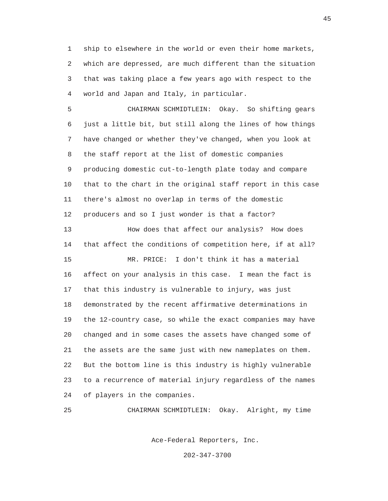1 ship to elsewhere in the world or even their home markets, 2 which are depressed, are much different than the situation 3 that was taking place a few years ago with respect to the 4 world and Japan and Italy, in particular.

 5 CHAIRMAN SCHMIDTLEIN: Okay. So shifting gears 6 just a little bit, but still along the lines of how things 7 have changed or whether they've changed, when you look at 8 the staff report at the list of domestic companies 9 producing domestic cut-to-length plate today and compare 10 that to the chart in the original staff report in this case 11 there's almost no overlap in terms of the domestic 12 producers and so I just wonder is that a factor?

 13 How does that affect our analysis? How does 14 that affect the conditions of competition here, if at all? 15 MR. PRICE: I don't think it has a material 16 affect on your analysis in this case. I mean the fact is 17 that this industry is vulnerable to injury, was just 18 demonstrated by the recent affirmative determinations in 19 the 12-country case, so while the exact companies may have 20 changed and in some cases the assets have changed some of 21 the assets are the same just with new nameplates on them. 22 But the bottom line is this industry is highly vulnerable 23 to a recurrence of material injury regardless of the names 24 of players in the companies.

25 CHAIRMAN SCHMIDTLEIN: Okay. Alright, my time

Ace-Federal Reporters, Inc.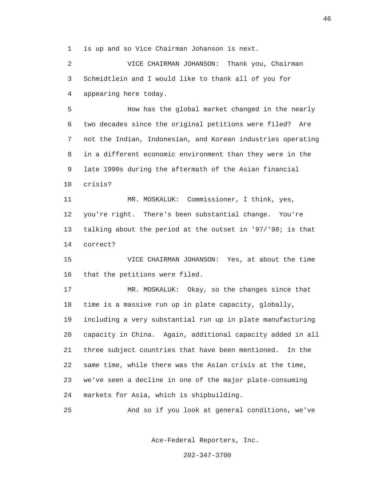1 is up and so Vice Chairman Johanson is next.

 2 VICE CHAIRMAN JOHANSON: Thank you, Chairman 3 Schmidtlein and I would like to thank all of you for 4 appearing here today.

 5 How has the global market changed in the nearly 6 two decades since the original petitions were filed? Are 7 not the Indian, Indonesian, and Korean industries operating 8 in a different economic environment than they were in the 9 late 1990s during the aftermath of the Asian financial 10 crisis?

 11 MR. MOSKALUK: Commissioner, I think, yes, 12 you're right. There's been substantial change. You're 13 talking about the period at the outset in '97/'98; is that 14 correct?

 15 VICE CHAIRMAN JOHANSON: Yes, at about the time 16 that the petitions were filed.

 17 MR. MOSKALUK: Okay, so the changes since that 18 time is a massive run up in plate capacity, globally, 19 including a very substantial run up in plate manufacturing 20 capacity in China. Again, additional capacity added in all 21 three subject countries that have been mentioned. In the 22 same time, while there was the Asian crisis at the time, 23 we've seen a decline in one of the major plate-consuming 24 markets for Asia, which is shipbuilding.

25 And so if you look at general conditions, we've

Ace-Federal Reporters, Inc.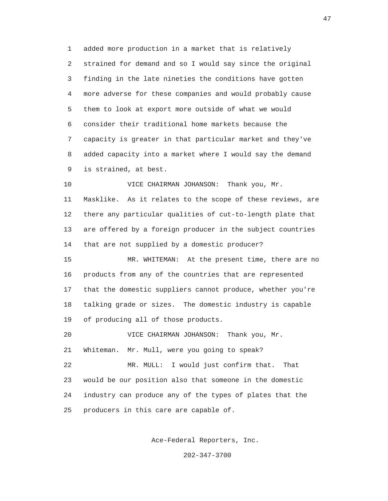1 added more production in a market that is relatively 2 strained for demand and so I would say since the original 3 finding in the late nineties the conditions have gotten 4 more adverse for these companies and would probably cause 5 them to look at export more outside of what we would 6 consider their traditional home markets because the 7 capacity is greater in that particular market and they've 8 added capacity into a market where I would say the demand 9 is strained, at best.

 10 VICE CHAIRMAN JOHANSON: Thank you, Mr. 11 Masklike. As it relates to the scope of these reviews, are 12 there any particular qualities of cut-to-length plate that 13 are offered by a foreign producer in the subject countries 14 that are not supplied by a domestic producer?

 15 MR. WHITEMAN: At the present time, there are no 16 products from any of the countries that are represented 17 that the domestic suppliers cannot produce, whether you're 18 talking grade or sizes. The domestic industry is capable 19 of producing all of those products.

 20 VICE CHAIRMAN JOHANSON: Thank you, Mr. 21 Whiteman. Mr. Mull, were you going to speak?

 22 MR. MULL: I would just confirm that. That 23 would be our position also that someone in the domestic 24 industry can produce any of the types of plates that the 25 producers in this care are capable of.

Ace-Federal Reporters, Inc.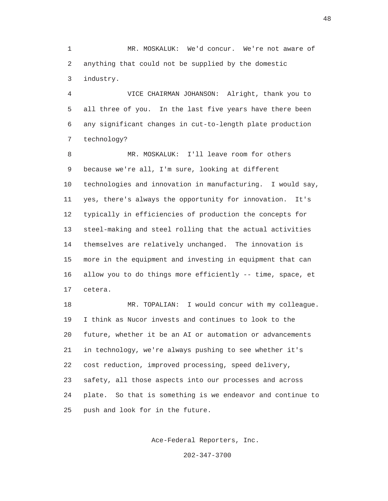1 MR. MOSKALUK: We'd concur. We're not aware of 2 anything that could not be supplied by the domestic 3 industry.

 4 VICE CHAIRMAN JOHANSON: Alright, thank you to 5 all three of you. In the last five years have there been 6 any significant changes in cut-to-length plate production 7 technology?

 8 MR. MOSKALUK: I'll leave room for others 9 because we're all, I'm sure, looking at different 10 technologies and innovation in manufacturing. I would say, 11 yes, there's always the opportunity for innovation. It's 12 typically in efficiencies of production the concepts for 13 steel-making and steel rolling that the actual activities 14 themselves are relatively unchanged. The innovation is 15 more in the equipment and investing in equipment that can 16 allow you to do things more efficiently -- time, space, et 17 cetera.

 18 MR. TOPALIAN: I would concur with my colleague. 19 I think as Nucor invests and continues to look to the 20 future, whether it be an AI or automation or advancements 21 in technology, we're always pushing to see whether it's 22 cost reduction, improved processing, speed delivery, 23 safety, all those aspects into our processes and across 24 plate. So that is something is we endeavor and continue to 25 push and look for in the future.

Ace-Federal Reporters, Inc.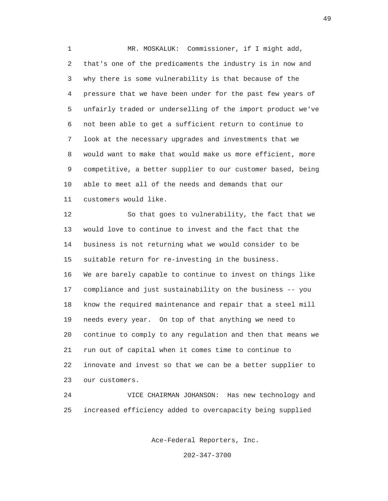1 MR. MOSKALUK: Commissioner, if I might add, 2 that's one of the predicaments the industry is in now and 3 why there is some vulnerability is that because of the 4 pressure that we have been under for the past few years of 5 unfairly traded or underselling of the import product we've 6 not been able to get a sufficient return to continue to 7 look at the necessary upgrades and investments that we 8 would want to make that would make us more efficient, more 9 competitive, a better supplier to our customer based, being 10 able to meet all of the needs and demands that our 11 customers would like.

 12 So that goes to vulnerability, the fact that we 13 would love to continue to invest and the fact that the 14 business is not returning what we would consider to be 15 suitable return for re-investing in the business. 16 We are barely capable to continue to invest on things like 17 compliance and just sustainability on the business -- you 18 know the required maintenance and repair that a steel mill 19 needs every year. On top of that anything we need to 20 continue to comply to any regulation and then that means we 21 run out of capital when it comes time to continue to 22 innovate and invest so that we can be a better supplier to 23 our customers.

 24 VICE CHAIRMAN JOHANSON: Has new technology and 25 increased efficiency added to overcapacity being supplied

Ace-Federal Reporters, Inc.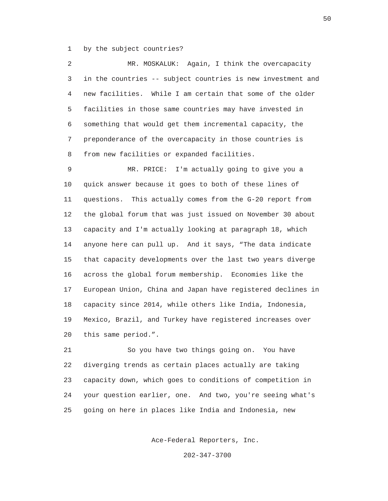1 by the subject countries?

 2 MR. MOSKALUK: Again, I think the overcapacity 3 in the countries -- subject countries is new investment and 4 new facilities. While I am certain that some of the older 5 facilities in those same countries may have invested in 6 something that would get them incremental capacity, the 7 preponderance of the overcapacity in those countries is 8 from new facilities or expanded facilities.

 9 MR. PRICE: I'm actually going to give you a 10 quick answer because it goes to both of these lines of 11 questions. This actually comes from the G-20 report from 12 the global forum that was just issued on November 30 about 13 capacity and I'm actually looking at paragraph 18, which 14 anyone here can pull up. And it says, "The data indicate 15 that capacity developments over the last two years diverge 16 across the global forum membership. Economies like the 17 European Union, China and Japan have registered declines in 18 capacity since 2014, while others like India, Indonesia, 19 Mexico, Brazil, and Turkey have registered increases over 20 this same period.".

 21 So you have two things going on. You have 22 diverging trends as certain places actually are taking 23 capacity down, which goes to conditions of competition in 24 your question earlier, one. And two, you're seeing what's 25 going on here in places like India and Indonesia, new

Ace-Federal Reporters, Inc.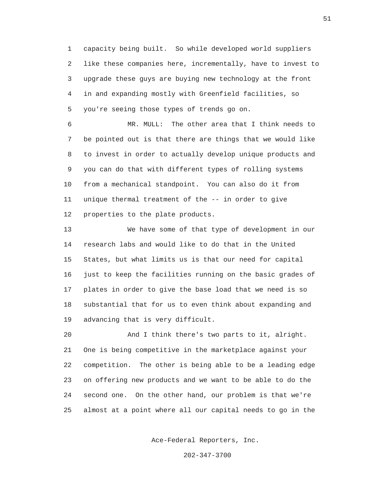1 capacity being built. So while developed world suppliers 2 like these companies here, incrementally, have to invest to 3 upgrade these guys are buying new technology at the front 4 in and expanding mostly with Greenfield facilities, so 5 you're seeing those types of trends go on.

 6 MR. MULL: The other area that I think needs to 7 be pointed out is that there are things that we would like 8 to invest in order to actually develop unique products and 9 you can do that with different types of rolling systems 10 from a mechanical standpoint. You can also do it from 11 unique thermal treatment of the -- in order to give 12 properties to the plate products.

 13 We have some of that type of development in our 14 research labs and would like to do that in the United 15 States, but what limits us is that our need for capital 16 just to keep the facilities running on the basic grades of 17 plates in order to give the base load that we need is so 18 substantial that for us to even think about expanding and 19 advancing that is very difficult.

 20 And I think there's two parts to it, alright. 21 One is being competitive in the marketplace against your 22 competition. The other is being able to be a leading edge 23 on offering new products and we want to be able to do the 24 second one. On the other hand, our problem is that we're 25 almost at a point where all our capital needs to go in the

Ace-Federal Reporters, Inc.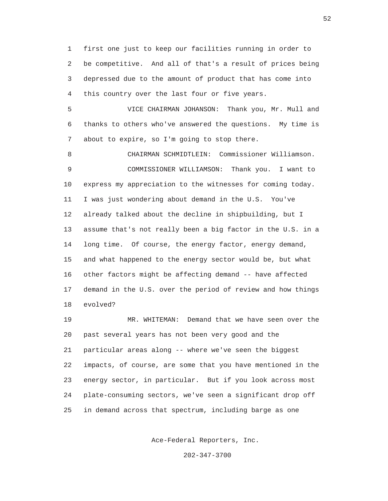1 first one just to keep our facilities running in order to 2 be competitive. And all of that's a result of prices being 3 depressed due to the amount of product that has come into 4 this country over the last four or five years.

 5 VICE CHAIRMAN JOHANSON: Thank you, Mr. Mull and 6 thanks to others who've answered the questions. My time is 7 about to expire, so I'm going to stop there.

 8 CHAIRMAN SCHMIDTLEIN: Commissioner Williamson. 9 COMMISSIONER WILLIAMSON: Thank you. I want to 10 express my appreciation to the witnesses for coming today. 11 I was just wondering about demand in the U.S. You've 12 already talked about the decline in shipbuilding, but I 13 assume that's not really been a big factor in the U.S. in a 14 long time. Of course, the energy factor, energy demand, 15 and what happened to the energy sector would be, but what 16 other factors might be affecting demand -- have affected 17 demand in the U.S. over the period of review and how things 18 evolved?

 19 MR. WHITEMAN: Demand that we have seen over the 20 past several years has not been very good and the 21 particular areas along -- where we've seen the biggest 22 impacts, of course, are some that you have mentioned in the 23 energy sector, in particular. But if you look across most 24 plate-consuming sectors, we've seen a significant drop off 25 in demand across that spectrum, including barge as one

Ace-Federal Reporters, Inc.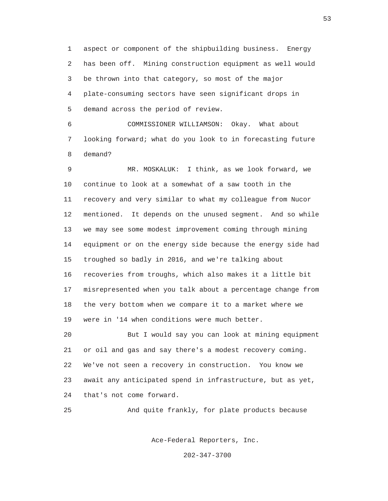1 aspect or component of the shipbuilding business. Energy 2 has been off. Mining construction equipment as well would 3 be thrown into that category, so most of the major 4 plate-consuming sectors have seen significant drops in 5 demand across the period of review.

 6 COMMISSIONER WILLIAMSON: Okay. What about 7 looking forward; what do you look to in forecasting future 8 demand?

 9 MR. MOSKALUK: I think, as we look forward, we 10 continue to look at a somewhat of a saw tooth in the 11 recovery and very similar to what my colleague from Nucor 12 mentioned. It depends on the unused segment. And so while 13 we may see some modest improvement coming through mining 14 equipment or on the energy side because the energy side had 15 troughed so badly in 2016, and we're talking about 16 recoveries from troughs, which also makes it a little bit 17 misrepresented when you talk about a percentage change from 18 the very bottom when we compare it to a market where we 19 were in '14 when conditions were much better. 20 But I would say you can look at mining equipment

 21 or oil and gas and say there's a modest recovery coming. 22 We've not seen a recovery in construction. You know we 23 await any anticipated spend in infrastructure, but as yet, 24 that's not come forward.

25 And quite frankly, for plate products because

Ace-Federal Reporters, Inc.

202-347-3700

 $53$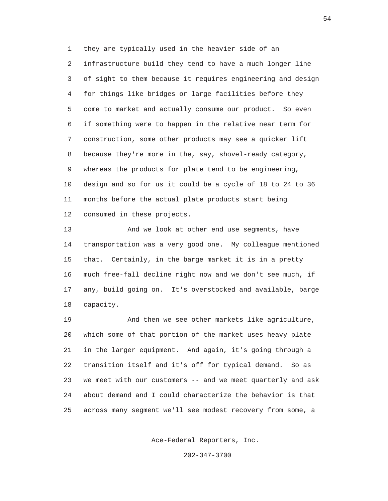1 they are typically used in the heavier side of an 2 infrastructure build they tend to have a much longer line 3 of sight to them because it requires engineering and design 4 for things like bridges or large facilities before they 5 come to market and actually consume our product. So even 6 if something were to happen in the relative near term for 7 construction, some other products may see a quicker lift 8 because they're more in the, say, shovel-ready category, 9 whereas the products for plate tend to be engineering, 10 design and so for us it could be a cycle of 18 to 24 to 36 11 months before the actual plate products start being 12 consumed in these projects.

 13 And we look at other end use segments, have 14 transportation was a very good one. My colleague mentioned 15 that. Certainly, in the barge market it is in a pretty 16 much free-fall decline right now and we don't see much, if 17 any, build going on. It's overstocked and available, barge 18 capacity.

 19 And then we see other markets like agriculture, 20 which some of that portion of the market uses heavy plate 21 in the larger equipment. And again, it's going through a 22 transition itself and it's off for typical demand. So as 23 we meet with our customers -- and we meet quarterly and ask 24 about demand and I could characterize the behavior is that 25 across many segment we'll see modest recovery from some, a

Ace-Federal Reporters, Inc.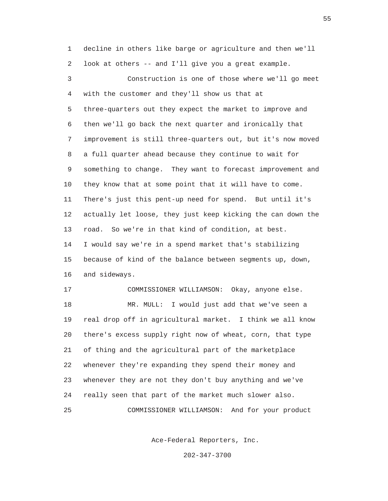1 decline in others like barge or agriculture and then we'll 2 look at others -- and I'll give you a great example. 3 Construction is one of those where we'll go meet 4 with the customer and they'll show us that at 5 three-quarters out they expect the market to improve and 6 then we'll go back the next quarter and ironically that 7 improvement is still three-quarters out, but it's now moved 8 a full quarter ahead because they continue to wait for 9 something to change. They want to forecast improvement and 10 they know that at some point that it will have to come. 11 There's just this pent-up need for spend. But until it's 12 actually let loose, they just keep kicking the can down the 13 road. So we're in that kind of condition, at best. 14 I would say we're in a spend market that's stabilizing 15 because of kind of the balance between segments up, down, 16 and sideways. 17 COMMISSIONER WILLIAMSON: Okay, anyone else. 18 MR. MULL: I would just add that we've seen a 19 real drop off in agricultural market. I think we all know 20 there's excess supply right now of wheat, corn, that type

 21 of thing and the agricultural part of the marketplace 22 whenever they're expanding they spend their money and 23 whenever they are not they don't buy anything and we've 24 really seen that part of the market much slower also. 25 COMMISSIONER WILLIAMSON: And for your product

Ace-Federal Reporters, Inc.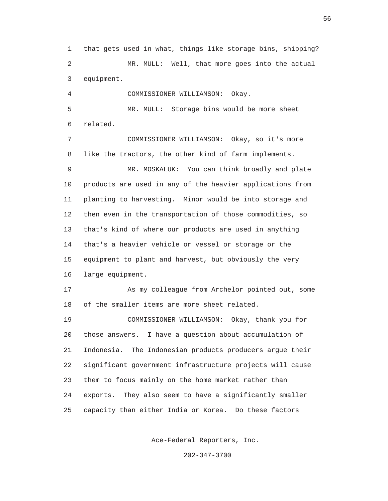1 that gets used in what, things like storage bins, shipping? 2 MR. MULL: Well, that more goes into the actual 3 equipment.

4 COMMISSIONER WILLIAMSON: Okay.

 5 MR. MULL: Storage bins would be more sheet 6 related.

 7 COMMISSIONER WILLIAMSON: Okay, so it's more 8 like the tractors, the other kind of farm implements.

 9 MR. MOSKALUK: You can think broadly and plate 10 products are used in any of the heavier applications from 11 planting to harvesting. Minor would be into storage and 12 then even in the transportation of those commodities, so 13 that's kind of where our products are used in anything 14 that's a heavier vehicle or vessel or storage or the 15 equipment to plant and harvest, but obviously the very 16 large equipment.

 17 As my colleague from Archelor pointed out, some 18 of the smaller items are more sheet related.

 19 COMMISSIONER WILLIAMSON: Okay, thank you for 20 those answers. I have a question about accumulation of 21 Indonesia. The Indonesian products producers argue their 22 significant government infrastructure projects will cause 23 them to focus mainly on the home market rather than 24 exports. They also seem to have a significantly smaller 25 capacity than either India or Korea. Do these factors

Ace-Federal Reporters, Inc.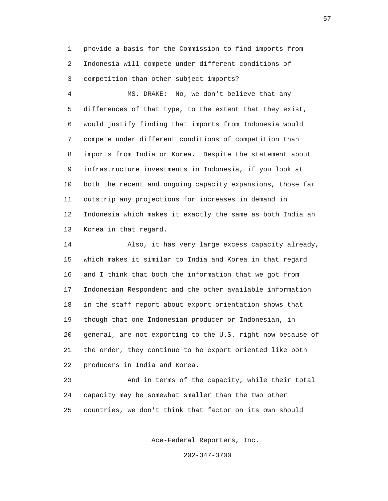1 provide a basis for the Commission to find imports from 2 Indonesia will compete under different conditions of 3 competition than other subject imports?

 4 MS. DRAKE: No, we don't believe that any 5 differences of that type, to the extent that they exist, 6 would justify finding that imports from Indonesia would 7 compete under different conditions of competition than 8 imports from India or Korea. Despite the statement about 9 infrastructure investments in Indonesia, if you look at 10 both the recent and ongoing capacity expansions, those far 11 outstrip any projections for increases in demand in 12 Indonesia which makes it exactly the same as both India an 13 Korea in that regard.

 14 Also, it has very large excess capacity already, 15 which makes it similar to India and Korea in that regard 16 and I think that both the information that we got from 17 Indonesian Respondent and the other available information 18 in the staff report about export orientation shows that 19 though that one Indonesian producer or Indonesian, in 20 general, are not exporting to the U.S. right now because of 21 the order, they continue to be export oriented like both 22 producers in India and Korea.

 23 And in terms of the capacity, while their total 24 capacity may be somewhat smaller than the two other 25 countries, we don't think that factor on its own should

Ace-Federal Reporters, Inc.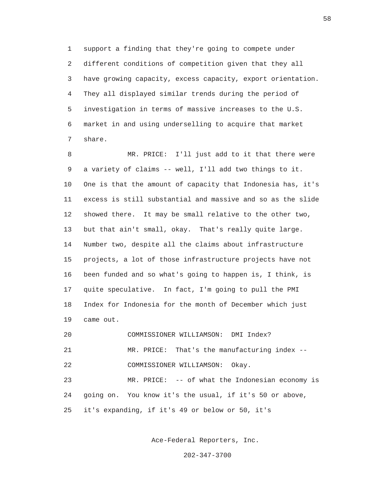1 support a finding that they're going to compete under 2 different conditions of competition given that they all 3 have growing capacity, excess capacity, export orientation. 4 They all displayed similar trends during the period of 5 investigation in terms of massive increases to the U.S. 6 market in and using underselling to acquire that market 7 share.

 8 MR. PRICE: I'll just add to it that there were 9 a variety of claims -- well, I'll add two things to it. 10 One is that the amount of capacity that Indonesia has, it's 11 excess is still substantial and massive and so as the slide 12 showed there. It may be small relative to the other two, 13 but that ain't small, okay. That's really quite large. 14 Number two, despite all the claims about infrastructure 15 projects, a lot of those infrastructure projects have not 16 been funded and so what's going to happen is, I think, is 17 quite speculative. In fact, I'm going to pull the PMI 18 Index for Indonesia for the month of December which just 19 came out. 20 COMMISSIONER WILLIAMSON: DMI Index? 21 MR. PRICE: That's the manufacturing index --

 22 COMMISSIONER WILLIAMSON: Okay. 23 MR. PRICE: -- of what the Indonesian economy is 24 going on. You know it's the usual, if it's 50 or above,

25 it's expanding, if it's 49 or below or 50, it's

Ace-Federal Reporters, Inc.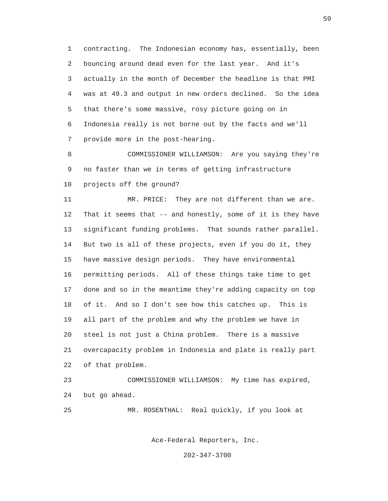1 contracting. The Indonesian economy has, essentially, been 2 bouncing around dead even for the last year. And it's 3 actually in the month of December the headline is that PMI 4 was at 49.3 and output in new orders declined. So the idea 5 that there's some massive, rosy picture going on in 6 Indonesia really is not borne out by the facts and we'll 7 provide more in the post-hearing.

 8 COMMISSIONER WILLIAMSON: Are you saying they're 9 no faster than we in terms of getting infrastructure 10 projects off the ground?

 11 MR. PRICE: They are not different than we are. 12 That it seems that -- and honestly, some of it is they have 13 significant funding problems. That sounds rather parallel. 14 But two is all of these projects, even if you do it, they 15 have massive design periods. They have environmental 16 permitting periods. All of these things take time to get 17 done and so in the meantime they're adding capacity on top 18 of it. And so I don't see how this catches up. This is 19 all part of the problem and why the problem we have in 20 steel is not just a China problem. There is a massive 21 overcapacity problem in Indonesia and plate is really part 22 of that problem.

 23 COMMISSIONER WILLIAMSON: My time has expired, 24 but go ahead.

25 MR. ROSENTHAL: Real quickly, if you look at

Ace-Federal Reporters, Inc.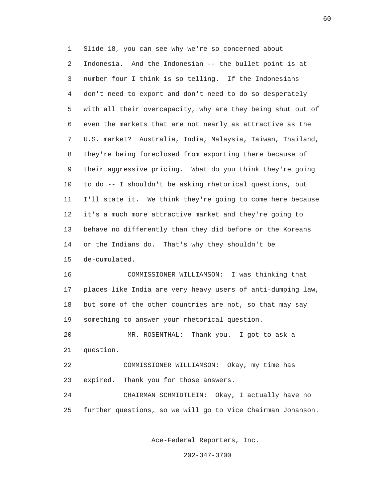1 Slide 18, you can see why we're so concerned about 2 Indonesia. And the Indonesian -- the bullet point is at 3 number four I think is so telling. If the Indonesians 4 don't need to export and don't need to do so desperately 5 with all their overcapacity, why are they being shut out of 6 even the markets that are not nearly as attractive as the 7 U.S. market? Australia, India, Malaysia, Taiwan, Thailand, 8 they're being foreclosed from exporting there because of 9 their aggressive pricing. What do you think they're going 10 to do -- I shouldn't be asking rhetorical questions, but 11 I'll state it. We think they're going to come here because 12 it's a much more attractive market and they're going to 13 behave no differently than they did before or the Koreans 14 or the Indians do. That's why they shouldn't be 15 de-cumulated.

 16 COMMISSIONER WILLIAMSON: I was thinking that 17 places like India are very heavy users of anti-dumping law, 18 but some of the other countries are not, so that may say 19 something to answer your rhetorical question.

 20 MR. ROSENTHAL: Thank you. I got to ask a 21 question.

 22 COMMISSIONER WILLIAMSON: Okay, my time has 23 expired. Thank you for those answers.

 24 CHAIRMAN SCHMIDTLEIN: Okay, I actually have no 25 further questions, so we will go to Vice Chairman Johanson.

Ace-Federal Reporters, Inc.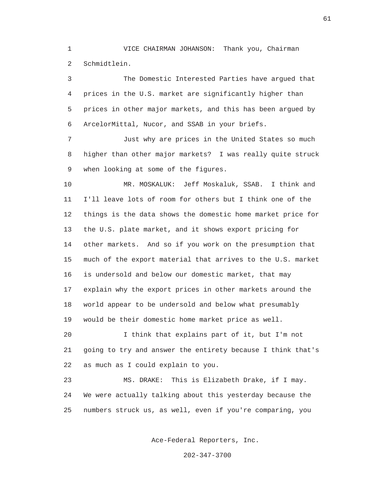1 VICE CHAIRMAN JOHANSON: Thank you, Chairman 2 Schmidtlein.

 3 The Domestic Interested Parties have argued that 4 prices in the U.S. market are significantly higher than 5 prices in other major markets, and this has been argued by 6 ArcelorMittal, Nucor, and SSAB in your briefs. 7 Just why are prices in the United States so much 8 higher than other major markets? I was really quite struck 9 when looking at some of the figures. 10 MR. MOSKALUK: Jeff Moskaluk, SSAB. I think and 11 I'll leave lots of room for others but I think one of the 12 things is the data shows the domestic home market price for 13 the U.S. plate market, and it shows export pricing for 14 other markets. And so if you work on the presumption that 15 much of the export material that arrives to the U.S. market 16 is undersold and below our domestic market, that may 17 explain why the export prices in other markets around the 18 world appear to be undersold and below what presumably 19 would be their domestic home market price as well. 20 I think that explains part of it, but I'm not 21 going to try and answer the entirety because I think that's 22 as much as I could explain to you. 23 MS. DRAKE: This is Elizabeth Drake, if I may.

 24 We were actually talking about this yesterday because the 25 numbers struck us, as well, even if you're comparing, you

Ace-Federal Reporters, Inc.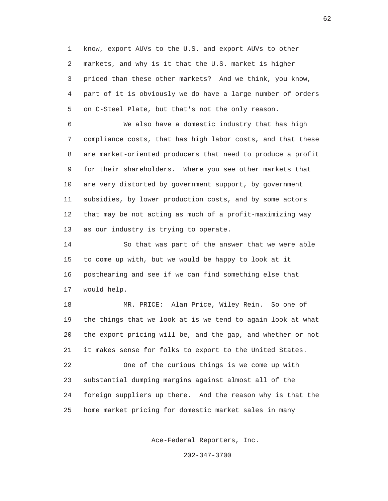1 know, export AUVs to the U.S. and export AUVs to other 2 markets, and why is it that the U.S. market is higher 3 priced than these other markets? And we think, you know, 4 part of it is obviously we do have a large number of orders 5 on C-Steel Plate, but that's not the only reason.

 6 We also have a domestic industry that has high 7 compliance costs, that has high labor costs, and that these 8 are market-oriented producers that need to produce a profit 9 for their shareholders. Where you see other markets that 10 are very distorted by government support, by government 11 subsidies, by lower production costs, and by some actors 12 that may be not acting as much of a profit-maximizing way 13 as our industry is trying to operate.

 14 So that was part of the answer that we were able 15 to come up with, but we would be happy to look at it 16 posthearing and see if we can find something else that 17 would help.

 18 MR. PRICE: Alan Price, Wiley Rein. So one of 19 the things that we look at is we tend to again look at what 20 the export pricing will be, and the gap, and whether or not 21 it makes sense for folks to export to the United States. 22 One of the curious things is we come up with

 23 substantial dumping margins against almost all of the 24 foreign suppliers up there. And the reason why is that the 25 home market pricing for domestic market sales in many

Ace-Federal Reporters, Inc.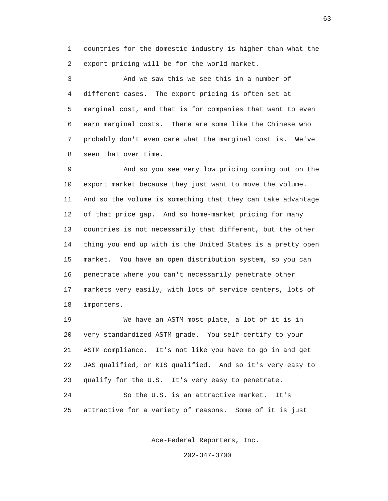1 countries for the domestic industry is higher than what the 2 export pricing will be for the world market.

 3 And we saw this we see this in a number of 4 different cases. The export pricing is often set at 5 marginal cost, and that is for companies that want to even 6 earn marginal costs. There are some like the Chinese who 7 probably don't even care what the marginal cost is. We've 8 seen that over time.

 9 And so you see very low pricing coming out on the 10 export market because they just want to move the volume. 11 And so the volume is something that they can take advantage 12 of that price gap. And so home-market pricing for many 13 countries is not necessarily that different, but the other 14 thing you end up with is the United States is a pretty open 15 market. You have an open distribution system, so you can 16 penetrate where you can't necessarily penetrate other 17 markets very easily, with lots of service centers, lots of 18 importers.

 19 We have an ASTM most plate, a lot of it is in 20 very standardized ASTM grade. You self-certify to your 21 ASTM compliance. It's not like you have to go in and get 22 JAS qualified, or KIS qualified. And so it's very easy to 23 qualify for the U.S. It's very easy to penetrate. 24 So the U.S. is an attractive market. It's

25 attractive for a variety of reasons. Some of it is just

Ace-Federal Reporters, Inc.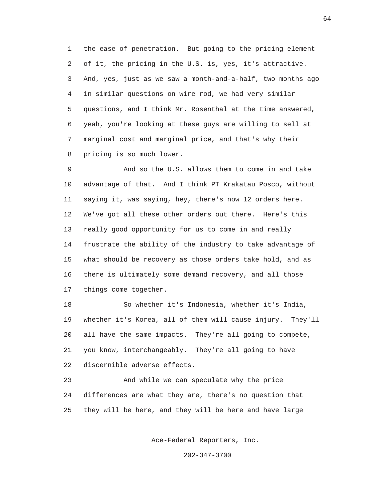1 the ease of penetration. But going to the pricing element 2 of it, the pricing in the U.S. is, yes, it's attractive. 3 And, yes, just as we saw a month-and-a-half, two months ago 4 in similar questions on wire rod, we had very similar 5 questions, and I think Mr. Rosenthal at the time answered, 6 yeah, you're looking at these guys are willing to sell at 7 marginal cost and marginal price, and that's why their 8 pricing is so much lower.

 9 And so the U.S. allows them to come in and take 10 advantage of that. And I think PT Krakatau Posco, without 11 saying it, was saying, hey, there's now 12 orders here. 12 We've got all these other orders out there. Here's this 13 really good opportunity for us to come in and really 14 frustrate the ability of the industry to take advantage of 15 what should be recovery as those orders take hold, and as 16 there is ultimately some demand recovery, and all those 17 things come together.

 18 So whether it's Indonesia, whether it's India, 19 whether it's Korea, all of them will cause injury. They'll 20 all have the same impacts. They're all going to compete, 21 you know, interchangeably. They're all going to have 22 discernible adverse effects.

 23 And while we can speculate why the price 24 differences are what they are, there's no question that 25 they will be here, and they will be here and have large

Ace-Federal Reporters, Inc.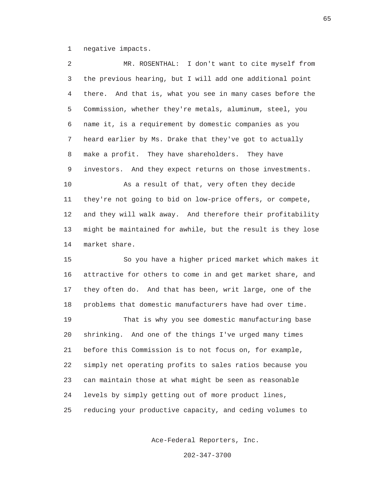1 negative impacts.

 2 MR. ROSENTHAL: I don't want to cite myself from 3 the previous hearing, but I will add one additional point 4 there. And that is, what you see in many cases before the 5 Commission, whether they're metals, aluminum, steel, you 6 name it, is a requirement by domestic companies as you 7 heard earlier by Ms. Drake that they've got to actually 8 make a profit. They have shareholders. They have 9 investors. And they expect returns on those investments. 10 As a result of that, very often they decide 11 they're not going to bid on low-price offers, or compete, 12 and they will walk away. And therefore their profitability 13 might be maintained for awhile, but the result is they lose 14 market share. 15 So you have a higher priced market which makes it 16 attractive for others to come in and get market share, and 17 they often do. And that has been, writ large, one of the 18 problems that domestic manufacturers have had over time. 19 That is why you see domestic manufacturing base 20 shrinking. And one of the things I've urged many times 21 before this Commission is to not focus on, for example, 22 simply net operating profits to sales ratios because you 23 can maintain those at what might be seen as reasonable 24 levels by simply getting out of more product lines, 25 reducing your productive capacity, and ceding volumes to

Ace-Federal Reporters, Inc.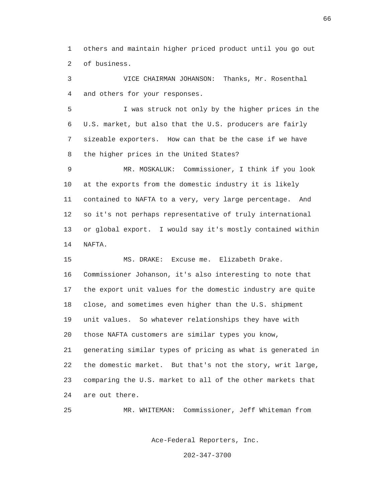1 others and maintain higher priced product until you go out 2 of business.

 3 VICE CHAIRMAN JOHANSON: Thanks, Mr. Rosenthal 4 and others for your responses.

 5 I was struck not only by the higher prices in the 6 U.S. market, but also that the U.S. producers are fairly 7 sizeable exporters. How can that be the case if we have 8 the higher prices in the United States?

 9 MR. MOSKALUK: Commissioner, I think if you look 10 at the exports from the domestic industry it is likely 11 contained to NAFTA to a very, very large percentage. And 12 so it's not perhaps representative of truly international 13 or global export. I would say it's mostly contained within 14 NAFTA.

 15 MS. DRAKE: Excuse me. Elizabeth Drake. 16 Commissioner Johanson, it's also interesting to note that 17 the export unit values for the domestic industry are quite 18 close, and sometimes even higher than the U.S. shipment 19 unit values. So whatever relationships they have with 20 those NAFTA customers are similar types you know, 21 generating similar types of pricing as what is generated in 22 the domestic market. But that's not the story, writ large, 23 comparing the U.S. market to all of the other markets that 24 are out there.

25 MR. WHITEMAN: Commissioner, Jeff Whiteman from

Ace-Federal Reporters, Inc.

202-347-3700

 $\sim$  66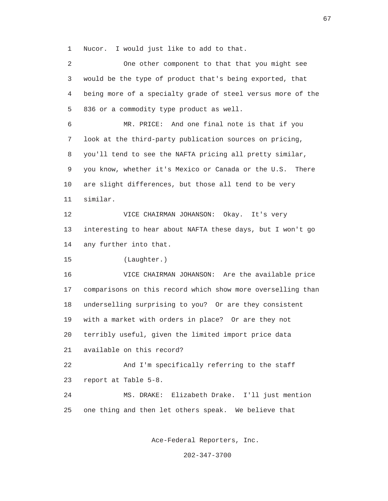1 Nucor. I would just like to add to that.

 2 One other component to that that you might see 3 would be the type of product that's being exported, that 4 being more of a specialty grade of steel versus more of the 5 836 or a commodity type product as well. 6 MR. PRICE: And one final note is that if you 7 look at the third-party publication sources on pricing, 8 you'll tend to see the NAFTA pricing all pretty similar, 9 you know, whether it's Mexico or Canada or the U.S. There 10 are slight differences, but those all tend to be very 11 similar. 12 VICE CHAIRMAN JOHANSON: Okay. It's very 13 interesting to hear about NAFTA these days, but I won't go 14 any further into that. 15 (Laughter.) 16 VICE CHAIRMAN JOHANSON: Are the available price 17 comparisons on this record which show more overselling than 18 underselling surprising to you? Or are they consistent 19 with a market with orders in place? Or are they not 20 terribly useful, given the limited import price data 21 available on this record? 22 And I'm specifically referring to the staff 23 report at Table 5-8. 24 MS. DRAKE: Elizabeth Drake. I'll just mention 25 one thing and then let others speak. We believe that

Ace-Federal Reporters, Inc.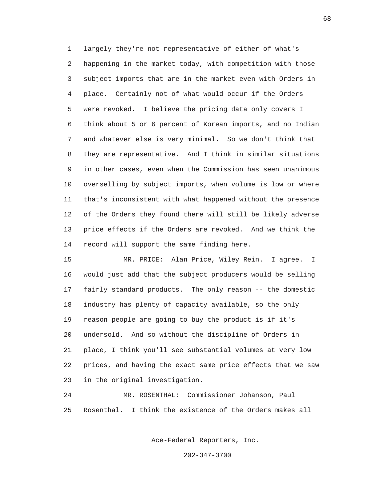1 largely they're not representative of either of what's 2 happening in the market today, with competition with those 3 subject imports that are in the market even with Orders in 4 place. Certainly not of what would occur if the Orders 5 were revoked. I believe the pricing data only covers I 6 think about 5 or 6 percent of Korean imports, and no Indian 7 and whatever else is very minimal. So we don't think that 8 they are representative. And I think in similar situations 9 in other cases, even when the Commission has seen unanimous 10 overselling by subject imports, when volume is low or where 11 that's inconsistent with what happened without the presence 12 of the Orders they found there will still be likely adverse 13 price effects if the Orders are revoked. And we think the 14 record will support the same finding here.

 15 MR. PRICE: Alan Price, Wiley Rein. I agree. I 16 would just add that the subject producers would be selling 17 fairly standard products. The only reason -- the domestic 18 industry has plenty of capacity available, so the only 19 reason people are going to buy the product is if it's 20 undersold. And so without the discipline of Orders in 21 place, I think you'll see substantial volumes at very low 22 prices, and having the exact same price effects that we saw 23 in the original investigation.

 24 MR. ROSENTHAL: Commissioner Johanson, Paul 25 Rosenthal. I think the existence of the Orders makes all

Ace-Federal Reporters, Inc.

202-347-3700

 $\sim$  68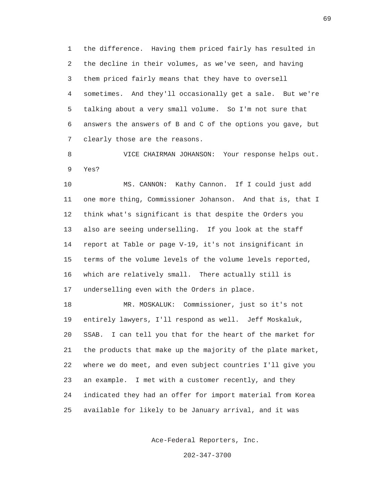1 the difference. Having them priced fairly has resulted in 2 the decline in their volumes, as we've seen, and having 3 them priced fairly means that they have to oversell 4 sometimes. And they'll occasionally get a sale. But we're 5 talking about a very small volume. So I'm not sure that 6 answers the answers of B and C of the options you gave, but 7 clearly those are the reasons.

 8 VICE CHAIRMAN JOHANSON: Your response helps out. 9 Yes?

 10 MS. CANNON: Kathy Cannon. If I could just add 11 one more thing, Commissioner Johanson. And that is, that I 12 think what's significant is that despite the Orders you 13 also are seeing underselling. If you look at the staff 14 report at Table or page V-19, it's not insignificant in 15 terms of the volume levels of the volume levels reported, 16 which are relatively small. There actually still is 17 underselling even with the Orders in place.

 18 MR. MOSKALUK: Commissioner, just so it's not 19 entirely lawyers, I'll respond as well. Jeff Moskaluk, 20 SSAB. I can tell you that for the heart of the market for 21 the products that make up the majority of the plate market, 22 where we do meet, and even subject countries I'll give you 23 an example. I met with a customer recently, and they 24 indicated they had an offer for import material from Korea 25 available for likely to be January arrival, and it was

Ace-Federal Reporters, Inc.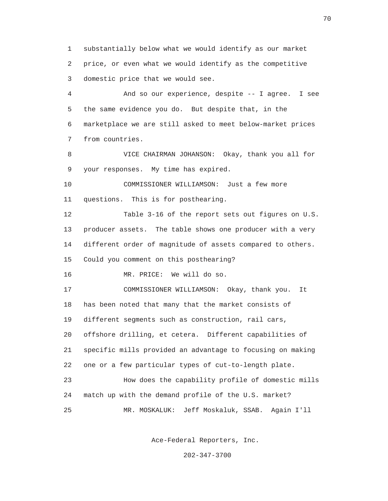1 substantially below what we would identify as our market 2 price, or even what we would identify as the competitive 3 domestic price that we would see.

 4 And so our experience, despite -- I agree. I see 5 the same evidence you do. But despite that, in the 6 marketplace we are still asked to meet below-market prices 7 from countries.

 8 VICE CHAIRMAN JOHANSON: Okay, thank you all for 9 your responses. My time has expired.

 10 COMMISSIONER WILLIAMSON: Just a few more 11 questions. This is for posthearing.

 12 Table 3-16 of the report sets out figures on U.S. 13 producer assets. The table shows one producer with a very 14 different order of magnitude of assets compared to others. 15 Could you comment on this posthearing?

16 MR. PRICE: We will do so.

 17 COMMISSIONER WILLIAMSON: Okay, thank you. It 18 has been noted that many that the market consists of 19 different segments such as construction, rail cars, 20 offshore drilling, et cetera. Different capabilities of 21 specific mills provided an advantage to focusing on making 22 one or a few particular types of cut-to-length plate. 23 How does the capability profile of domestic mills 24 match up with the demand profile of the U.S. market? 25 MR. MOSKALUK: Jeff Moskaluk, SSAB. Again I'll

Ace-Federal Reporters, Inc.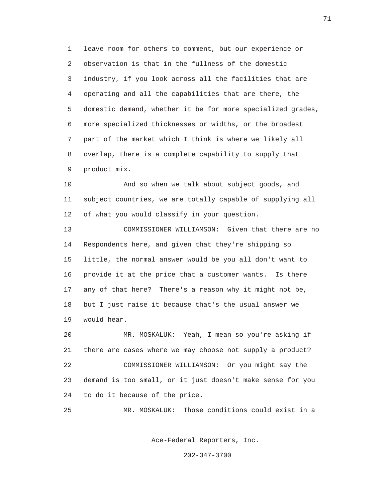1 leave room for others to comment, but our experience or 2 observation is that in the fullness of the domestic 3 industry, if you look across all the facilities that are 4 operating and all the capabilities that are there, the 5 domestic demand, whether it be for more specialized grades, 6 more specialized thicknesses or widths, or the broadest 7 part of the market which I think is where we likely all 8 overlap, there is a complete capability to supply that 9 product mix.

 10 And so when we talk about subject goods, and 11 subject countries, we are totally capable of supplying all 12 of what you would classify in your question.

 13 COMMISSIONER WILLIAMSON: Given that there are no 14 Respondents here, and given that they're shipping so 15 little, the normal answer would be you all don't want to 16 provide it at the price that a customer wants. Is there 17 any of that here? There's a reason why it might not be, 18 but I just raise it because that's the usual answer we 19 would hear.

 20 MR. MOSKALUK: Yeah, I mean so you're asking if 21 there are cases where we may choose not supply a product? 22 COMMISSIONER WILLIAMSON: Or you might say the 23 demand is too small, or it just doesn't make sense for you 24 to do it because of the price.

25 MR. MOSKALUK: Those conditions could exist in a

Ace-Federal Reporters, Inc.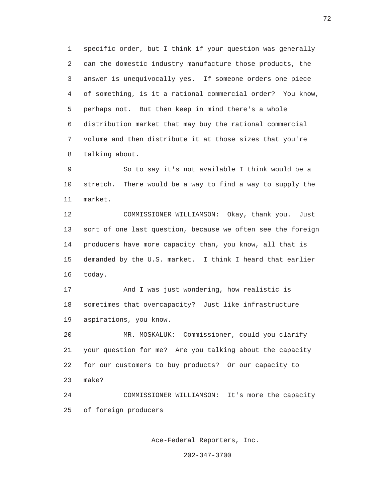1 specific order, but I think if your question was generally 2 can the domestic industry manufacture those products, the 3 answer is unequivocally yes. If someone orders one piece 4 of something, is it a rational commercial order? You know, 5 perhaps not. But then keep in mind there's a whole 6 distribution market that may buy the rational commercial 7 volume and then distribute it at those sizes that you're 8 talking about.

 9 So to say it's not available I think would be a 10 stretch. There would be a way to find a way to supply the 11 market.

 12 COMMISSIONER WILLIAMSON: Okay, thank you. Just 13 sort of one last question, because we often see the foreign 14 producers have more capacity than, you know, all that is 15 demanded by the U.S. market. I think I heard that earlier 16 today.

 17 And I was just wondering, how realistic is 18 sometimes that overcapacity? Just like infrastructure 19 aspirations, you know.

 20 MR. MOSKALUK: Commissioner, could you clarify 21 your question for me? Are you talking about the capacity 22 for our customers to buy products? Or our capacity to 23 make?

 24 COMMISSIONER WILLIAMSON: It's more the capacity 25 of foreign producers

Ace-Federal Reporters, Inc.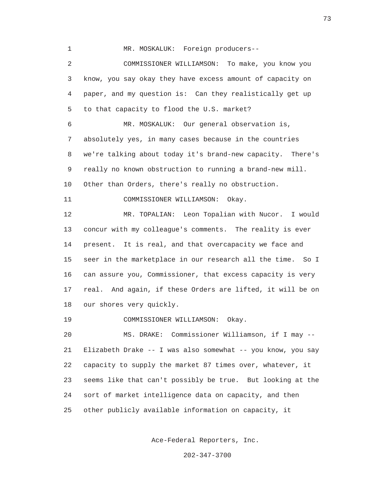1 MR. MOSKALUK: Foreign producers-- 2 COMMISSIONER WILLIAMSON: To make, you know you 3 know, you say okay they have excess amount of capacity on 4 paper, and my question is: Can they realistically get up 5 to that capacity to flood the U.S. market? 6 MR. MOSKALUK: Our general observation is, 7 absolutely yes, in many cases because in the countries 8 we're talking about today it's brand-new capacity. There's 9 really no known obstruction to running a brand-new mill. 10 Other than Orders, there's really no obstruction. 11 COMMISSIONER WILLIAMSON: Okay. 12 MR. TOPALIAN: Leon Topalian with Nucor. I would 13 concur with my colleague's comments. The reality is ever 14 present. It is real, and that overcapacity we face and 15 seer in the marketplace in our research all the time. So I 16 can assure you, Commissioner, that excess capacity is very 17 real. And again, if these Orders are lifted, it will be on 18 our shores very quickly. 19 COMMISSIONER WILLIAMSON: Okay. 20 MS. DRAKE: Commissioner Williamson, if I may -- 21 Elizabeth Drake -- I was also somewhat -- you know, you say 22 capacity to supply the market 87 times over, whatever, it 23 seems like that can't possibly be true. But looking at the 24 sort of market intelligence data on capacity, and then 25 other publicly available information on capacity, it

Ace-Federal Reporters, Inc.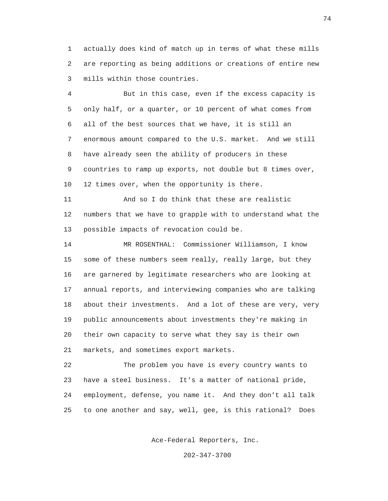1 actually does kind of match up in terms of what these mills 2 are reporting as being additions or creations of entire new 3 mills within those countries.

 4 But in this case, even if the excess capacity is 5 only half, or a quarter, or 10 percent of what comes from 6 all of the best sources that we have, it is still an 7 enormous amount compared to the U.S. market. And we still 8 have already seen the ability of producers in these 9 countries to ramp up exports, not double but 8 times over, 10 12 times over, when the opportunity is there.

 11 And so I do think that these are realistic 12 numbers that we have to grapple with to understand what the 13 possible impacts of revocation could be.

 14 MR ROSENTHAL: Commissioner Williamson, I know 15 some of these numbers seem really, really large, but they 16 are garnered by legitimate researchers who are looking at 17 annual reports, and interviewing companies who are talking 18 about their investments. And a lot of these are very, very 19 public announcements about investments they're making in 20 their own capacity to serve what they say is their own 21 markets, and sometimes export markets.

 22 The problem you have is every country wants to 23 have a steel business. It's a matter of national pride, 24 employment, defense, you name it. And they don't all talk 25 to one another and say, well, gee, is this rational? Does

Ace-Federal Reporters, Inc.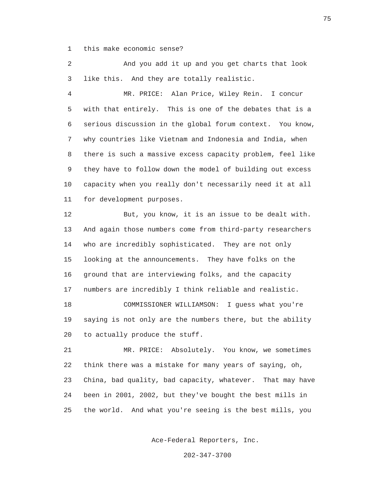1 this make economic sense?

 2 And you add it up and you get charts that look 3 like this. And they are totally realistic.

 4 MR. PRICE: Alan Price, Wiley Rein. I concur 5 with that entirely. This is one of the debates that is a 6 serious discussion in the global forum context. You know, 7 why countries like Vietnam and Indonesia and India, when 8 there is such a massive excess capacity problem, feel like 9 they have to follow down the model of building out excess 10 capacity when you really don't necessarily need it at all 11 for development purposes.

 12 But, you know, it is an issue to be dealt with. 13 And again those numbers come from third-party researchers 14 who are incredibly sophisticated. They are not only 15 looking at the announcements. They have folks on the 16 ground that are interviewing folks, and the capacity 17 numbers are incredibly I think reliable and realistic. 18 COMMISSIONER WILLIAMSON: I guess what you're 19 saying is not only are the numbers there, but the ability

20 to actually produce the stuff.

 21 MR. PRICE: Absolutely. You know, we sometimes 22 think there was a mistake for many years of saying, oh, 23 China, bad quality, bad capacity, whatever. That may have 24 been in 2001, 2002, but they've bought the best mills in 25 the world. And what you're seeing is the best mills, you

Ace-Federal Reporters, Inc.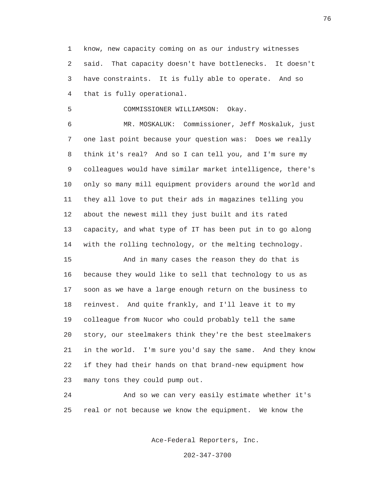1 know, new capacity coming on as our industry witnesses 2 said. That capacity doesn't have bottlenecks. It doesn't 3 have constraints. It is fully able to operate. And so 4 that is fully operational.

5 COMMISSIONER WILLIAMSON: Okay.

 6 MR. MOSKALUK: Commissioner, Jeff Moskaluk, just 7 one last point because your question was: Does we really 8 think it's real? And so I can tell you, and I'm sure my 9 colleagues would have similar market intelligence, there's 10 only so many mill equipment providers around the world and 11 they all love to put their ads in magazines telling you 12 about the newest mill they just built and its rated 13 capacity, and what type of IT has been put in to go along 14 with the rolling technology, or the melting technology.

 15 And in many cases the reason they do that is 16 because they would like to sell that technology to us as 17 soon as we have a large enough return on the business to 18 reinvest. And quite frankly, and I'll leave it to my 19 colleague from Nucor who could probably tell the same 20 story, our steelmakers think they're the best steelmakers 21 in the world. I'm sure you'd say the same. And they know 22 if they had their hands on that brand-new equipment how 23 many tons they could pump out.

 24 And so we can very easily estimate whether it's 25 real or not because we know the equipment. We know the

Ace-Federal Reporters, Inc.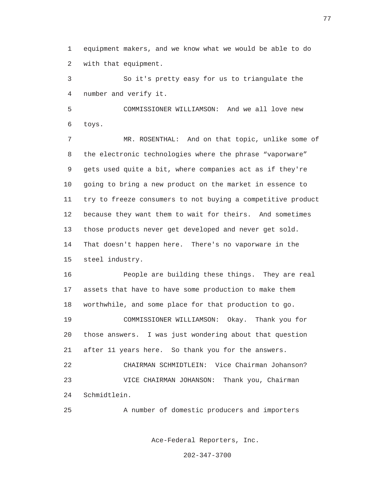1 equipment makers, and we know what we would be able to do 2 with that equipment.

 3 So it's pretty easy for us to triangulate the 4 number and verify it.

 5 COMMISSIONER WILLIAMSON: And we all love new 6 toys.

 7 MR. ROSENTHAL: And on that topic, unlike some of 8 the electronic technologies where the phrase "vaporware" 9 gets used quite a bit, where companies act as if they're 10 going to bring a new product on the market in essence to 11 try to freeze consumers to not buying a competitive product 12 because they want them to wait for theirs. And sometimes 13 those products never get developed and never get sold. 14 That doesn't happen here. There's no vaporware in the 15 steel industry.

 16 People are building these things. They are real 17 assets that have to have some production to make them 18 worthwhile, and some place for that production to go.

 19 COMMISSIONER WILLIAMSON: Okay. Thank you for 20 those answers. I was just wondering about that question 21 after 11 years here. So thank you for the answers.

 22 CHAIRMAN SCHMIDTLEIN: Vice Chairman Johanson? 23 VICE CHAIRMAN JOHANSON: Thank you, Chairman 24 Schmidtlein.

25 A number of domestic producers and importers

Ace-Federal Reporters, Inc.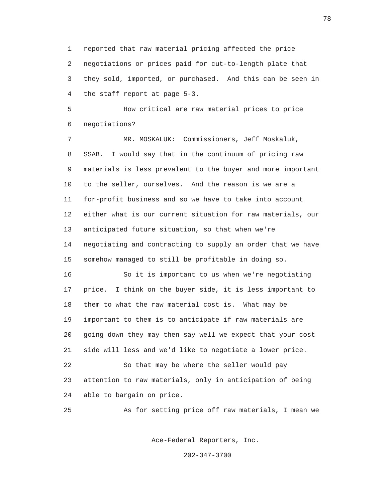1 reported that raw material pricing affected the price 2 negotiations or prices paid for cut-to-length plate that 3 they sold, imported, or purchased. And this can be seen in 4 the staff report at page 5-3.

 5 How critical are raw material prices to price 6 negotiations?

 7 MR. MOSKALUK: Commissioners, Jeff Moskaluk, 8 SSAB. I would say that in the continuum of pricing raw 9 materials is less prevalent to the buyer and more important 10 to the seller, ourselves. And the reason is we are a 11 for-profit business and so we have to take into account 12 either what is our current situation for raw materials, our 13 anticipated future situation, so that when we're 14 negotiating and contracting to supply an order that we have 15 somehow managed to still be profitable in doing so.

 16 So it is important to us when we're negotiating 17 price. I think on the buyer side, it is less important to 18 them to what the raw material cost is. What may be 19 important to them is to anticipate if raw materials are 20 going down they may then say well we expect that your cost 21 side will less and we'd like to negotiate a lower price. 22 So that may be where the seller would pay

 23 attention to raw materials, only in anticipation of being 24 able to bargain on price.

25 As for setting price off raw materials, I mean we

Ace-Federal Reporters, Inc.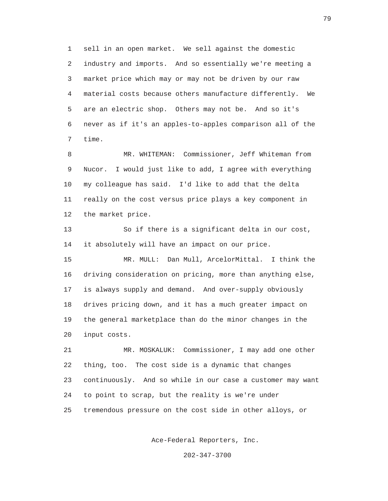1 sell in an open market. We sell against the domestic 2 industry and imports. And so essentially we're meeting a 3 market price which may or may not be driven by our raw 4 material costs because others manufacture differently. We 5 are an electric shop. Others may not be. And so it's 6 never as if it's an apples-to-apples comparison all of the 7 time.

 8 MR. WHITEMAN: Commissioner, Jeff Whiteman from 9 Nucor. I would just like to add, I agree with everything 10 my colleague has said. I'd like to add that the delta 11 really on the cost versus price plays a key component in 12 the market price.

 13 So if there is a significant delta in our cost, 14 it absolutely will have an impact on our price.

 15 MR. MULL: Dan Mull, ArcelorMittal. I think the 16 driving consideration on pricing, more than anything else, 17 is always supply and demand. And over-supply obviously 18 drives pricing down, and it has a much greater impact on 19 the general marketplace than do the minor changes in the 20 input costs.

 21 MR. MOSKALUK: Commissioner, I may add one other 22 thing, too. The cost side is a dynamic that changes 23 continuously. And so while in our case a customer may want 24 to point to scrap, but the reality is we're under 25 tremendous pressure on the cost side in other alloys, or

Ace-Federal Reporters, Inc.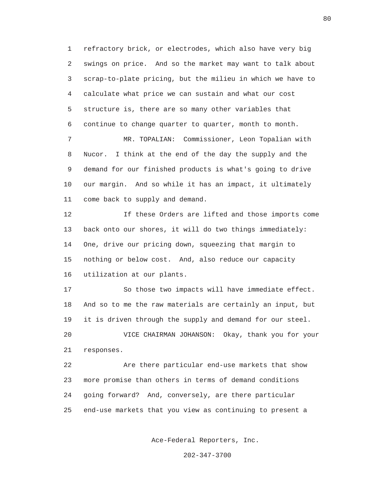1 refractory brick, or electrodes, which also have very big 2 swings on price. And so the market may want to talk about 3 scrap-to-plate pricing, but the milieu in which we have to 4 calculate what price we can sustain and what our cost 5 structure is, there are so many other variables that 6 continue to change quarter to quarter, month to month.

 7 MR. TOPALIAN: Commissioner, Leon Topalian with 8 Nucor. I think at the end of the day the supply and the 9 demand for our finished products is what's going to drive 10 our margin. And so while it has an impact, it ultimately 11 come back to supply and demand.

 12 If these Orders are lifted and those imports come 13 back onto our shores, it will do two things immediately: 14 One, drive our pricing down, squeezing that margin to 15 nothing or below cost. And, also reduce our capacity 16 utilization at our plants.

 17 So those two impacts will have immediate effect. 18 And so to me the raw materials are certainly an input, but 19 it is driven through the supply and demand for our steel. 20 VICE CHAIRMAN JOHANSON: Okay, thank you for your 21 responses.

 22 Are there particular end-use markets that show 23 more promise than others in terms of demand conditions 24 going forward? And, conversely, are there particular 25 end-use markets that you view as continuing to present a

Ace-Federal Reporters, Inc.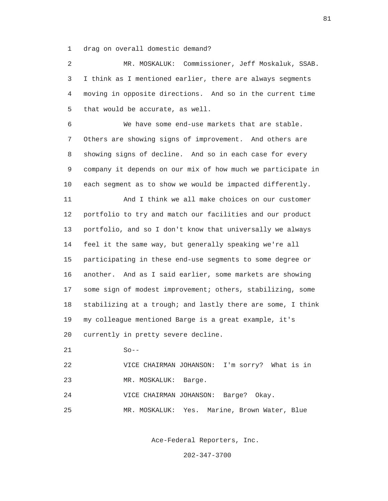1 drag on overall domestic demand?

 2 MR. MOSKALUK: Commissioner, Jeff Moskaluk, SSAB. 3 I think as I mentioned earlier, there are always segments 4 moving in opposite directions. And so in the current time 5 that would be accurate, as well.

 6 We have some end-use markets that are stable. 7 Others are showing signs of improvement. And others are 8 showing signs of decline. And so in each case for every 9 company it depends on our mix of how much we participate in 10 each segment as to show we would be impacted differently.

 11 And I think we all make choices on our customer 12 portfolio to try and match our facilities and our product 13 portfolio, and so I don't know that universally we always 14 feel it the same way, but generally speaking we're all 15 participating in these end-use segments to some degree or 16 another. And as I said earlier, some markets are showing 17 some sign of modest improvement; others, stabilizing, some 18 stabilizing at a trough; and lastly there are some, I think 19 my colleague mentioned Barge is a great example, it's 20 currently in pretty severe decline.

21 So--

 22 VICE CHAIRMAN JOHANSON: I'm sorry? What is in 23 MR. MOSKALUK: Barge.

24 VICE CHAIRMAN JOHANSON: Barge? Okay.

25 MR. MOSKALUK: Yes. Marine, Brown Water, Blue

Ace-Federal Reporters, Inc.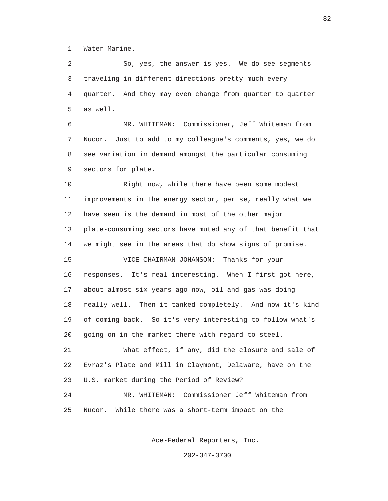1 Water Marine.

 2 So, yes, the answer is yes. We do see segments 3 traveling in different directions pretty much every 4 quarter. And they may even change from quarter to quarter 5 as well.

 6 MR. WHITEMAN: Commissioner, Jeff Whiteman from 7 Nucor. Just to add to my colleague's comments, yes, we do 8 see variation in demand amongst the particular consuming 9 sectors for plate.

 10 Right now, while there have been some modest 11 improvements in the energy sector, per se, really what we 12 have seen is the demand in most of the other major 13 plate-consuming sectors have muted any of that benefit that 14 we might see in the areas that do show signs of promise. 15 VICE CHAIRMAN JOHANSON: Thanks for your 16 responses. It's real interesting. When I first got here, 17 about almost six years ago now, oil and gas was doing 18 really well. Then it tanked completely. And now it's kind 19 of coming back. So it's very interesting to follow what's 20 going on in the market there with regard to steel. 21 What effect, if any, did the closure and sale of 22 Evraz's Plate and Mill in Claymont, Delaware, have on the 23 U.S. market during the Period of Review? 24 MR. WHITEMAN: Commissioner Jeff Whiteman from

25 Nucor. While there was a short-term impact on the

Ace-Federal Reporters, Inc.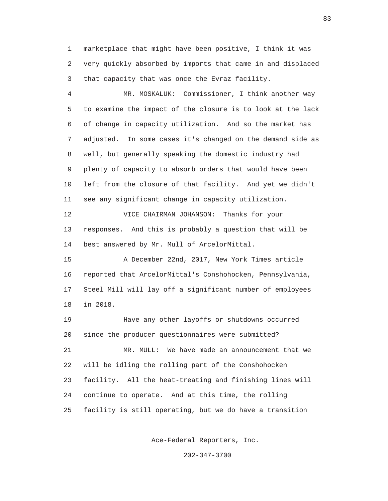1 marketplace that might have been positive, I think it was 2 very quickly absorbed by imports that came in and displaced 3 that capacity that was once the Evraz facility.

 4 MR. MOSKALUK: Commissioner, I think another way 5 to examine the impact of the closure is to look at the lack 6 of change in capacity utilization. And so the market has 7 adjusted. In some cases it's changed on the demand side as 8 well, but generally speaking the domestic industry had 9 plenty of capacity to absorb orders that would have been 10 left from the closure of that facility. And yet we didn't 11 see any significant change in capacity utilization.

 12 VICE CHAIRMAN JOHANSON: Thanks for your 13 responses. And this is probably a question that will be 14 best answered by Mr. Mull of ArcelorMittal.

 15 A December 22nd, 2017, New York Times article 16 reported that ArcelorMittal's Conshohocken, Pennsylvania, 17 Steel Mill will lay off a significant number of employees 18 in 2018.

 19 Have any other layoffs or shutdowns occurred 20 since the producer questionnaires were submitted? 21 MR. MULL: We have made an announcement that we 22 will be idling the rolling part of the Conshohocken 23 facility. All the heat-treating and finishing lines will 24 continue to operate. And at this time, the rolling 25 facility is still operating, but we do have a transition

Ace-Federal Reporters, Inc.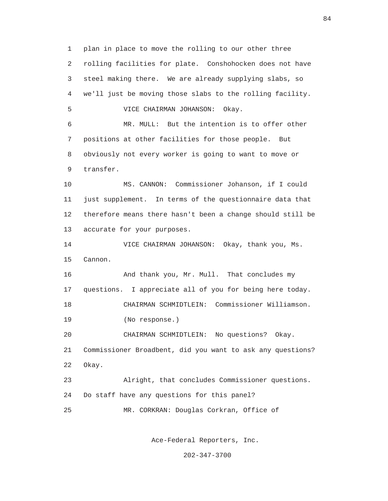1 plan in place to move the rolling to our other three 2 rolling facilities for plate. Conshohocken does not have 3 steel making there. We are already supplying slabs, so 4 we'll just be moving those slabs to the rolling facility. 5 VICE CHAIRMAN JOHANSON: Okay. 6 MR. MULL: But the intention is to offer other 7 positions at other facilities for those people. But 8 obviously not every worker is going to want to move or 9 transfer. 10 MS. CANNON: Commissioner Johanson, if I could 11 just supplement. In terms of the questionnaire data that 12 therefore means there hasn't been a change should still be 13 accurate for your purposes. 14 VICE CHAIRMAN JOHANSON: Okay, thank you, Ms. 15 Cannon. 16 And thank you, Mr. Mull. That concludes my 17 questions. I appreciate all of you for being here today. 18 CHAIRMAN SCHMIDTLEIN: Commissioner Williamson. 19 (No response.) 20 CHAIRMAN SCHMIDTLEIN: No questions? Okay. 21 Commissioner Broadbent, did you want to ask any questions? 22 Okay. 23 Alright, that concludes Commissioner questions. 24 Do staff have any questions for this panel? 25 MR. CORKRAN: Douglas Corkran, Office of

Ace-Federal Reporters, Inc.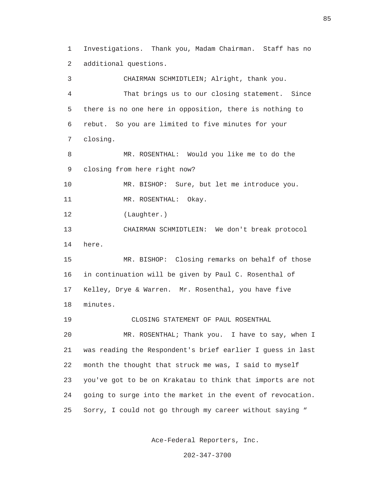1 Investigations. Thank you, Madam Chairman. Staff has no 2 additional questions.

 3 CHAIRMAN SCHMIDTLEIN; Alright, thank you. 4 That brings us to our closing statement. Since 5 there is no one here in opposition, there is nothing to 6 rebut. So you are limited to five minutes for your 7 closing. 8 MR. ROSENTHAL: Would you like me to do the 9 closing from here right now? 10 MR. BISHOP: Sure, but let me introduce you. 11 MR. ROSENTHAL: Okay. 12 (Laughter.) 13 CHAIRMAN SCHMIDTLEIN: We don't break protocol 14 here. 15 MR. BISHOP: Closing remarks on behalf of those 16 in continuation will be given by Paul C. Rosenthal of 17 Kelley, Drye & Warren. Mr. Rosenthal, you have five 18 minutes. 19 CLOSING STATEMENT OF PAUL ROSENTHAL 20 MR. ROSENTHAL; Thank you. I have to say, when I 21 was reading the Respondent's brief earlier I guess in last 22 month the thought that struck me was, I said to myself 23 you've got to be on Krakatau to think that imports are not 24 going to surge into the market in the event of revocation. 25 Sorry, I could not go through my career without saying "

Ace-Federal Reporters, Inc.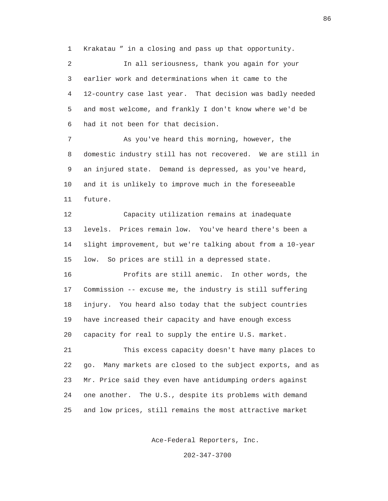1 Krakatau " in a closing and pass up that opportunity.

 2 In all seriousness, thank you again for your 3 earlier work and determinations when it came to the 4 12-country case last year. That decision was badly needed 5 and most welcome, and frankly I don't know where we'd be 6 had it not been for that decision.

 7 As you've heard this morning, however, the 8 domestic industry still has not recovered. We are still in 9 an injured state. Demand is depressed, as you've heard, 10 and it is unlikely to improve much in the foreseeable 11 future.

 12 Capacity utilization remains at inadequate 13 levels. Prices remain low. You've heard there's been a 14 slight improvement, but we're talking about from a 10-year 15 low. So prices are still in a depressed state.

 16 Profits are still anemic. In other words, the 17 Commission -- excuse me, the industry is still suffering 18 injury. You heard also today that the subject countries 19 have increased their capacity and have enough excess 20 capacity for real to supply the entire U.S. market.

 21 This excess capacity doesn't have many places to 22 go. Many markets are closed to the subject exports, and as 23 Mr. Price said they even have antidumping orders against 24 one another. The U.S., despite its problems with demand 25 and low prices, still remains the most attractive market

Ace-Federal Reporters, Inc.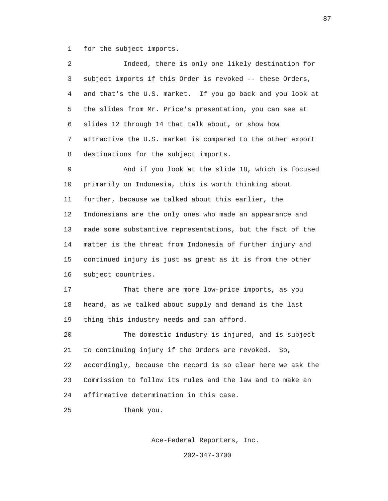1 for the subject imports.

| 2 | Indeed, there is only one likely destination for           |
|---|------------------------------------------------------------|
| 3 | subject imports if this Order is revoked -- these Orders,  |
| 4 | and that's the U.S. market. If you go back and you look at |
| 5 | the slides from Mr. Price's presentation, you can see at   |
| 6 | slides 12 through 14 that talk about, or show how          |
| 7 | attractive the U.S. market is compared to the other export |
| 8 | destinations for the subject imports.                      |

 9 And if you look at the slide 18, which is focused 10 primarily on Indonesia, this is worth thinking about 11 further, because we talked about this earlier, the 12 Indonesians are the only ones who made an appearance and 13 made some substantive representations, but the fact of the 14 matter is the threat from Indonesia of further injury and 15 continued injury is just as great as it is from the other 16 subject countries.

 17 That there are more low-price imports, as you 18 heard, as we talked about supply and demand is the last 19 thing this industry needs and can afford.

 20 The domestic industry is injured, and is subject 21 to continuing injury if the Orders are revoked. So, 22 accordingly, because the record is so clear here we ask the 23 Commission to follow its rules and the law and to make an 24 affirmative determination in this case.

25 Thank you.

Ace-Federal Reporters, Inc.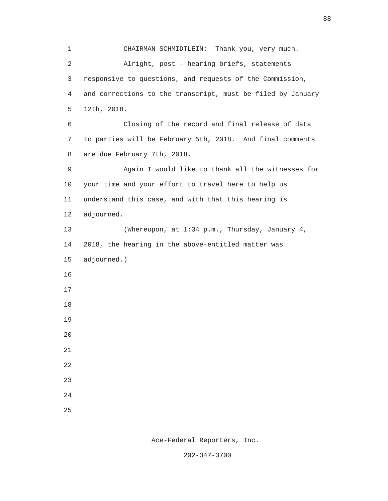1 CHAIRMAN SCHMIDTLEIN: Thank you, very much. 2 Alright, post - hearing briefs, statements 3 responsive to questions, and requests of the Commission, 4 and corrections to the transcript, must be filed by January 5 12th, 2018. 6 Closing of the record and final release of data 7 to parties will be February 5th, 2018. And final comments 8 are due February 7th, 2018. 9 Again I would like to thank all the witnesses for 10 your time and your effort to travel here to help us 11 understand this case, and with that this hearing is 12 adjourned. 13 (Whereupon, at 1:34 p.m., Thursday, January 4, 14 2018, the hearing in the above-entitled matter was 15 adjourned.) 16 17 18 19 20 21 22 23 24 25

88

Ace-Federal Reporters, Inc.